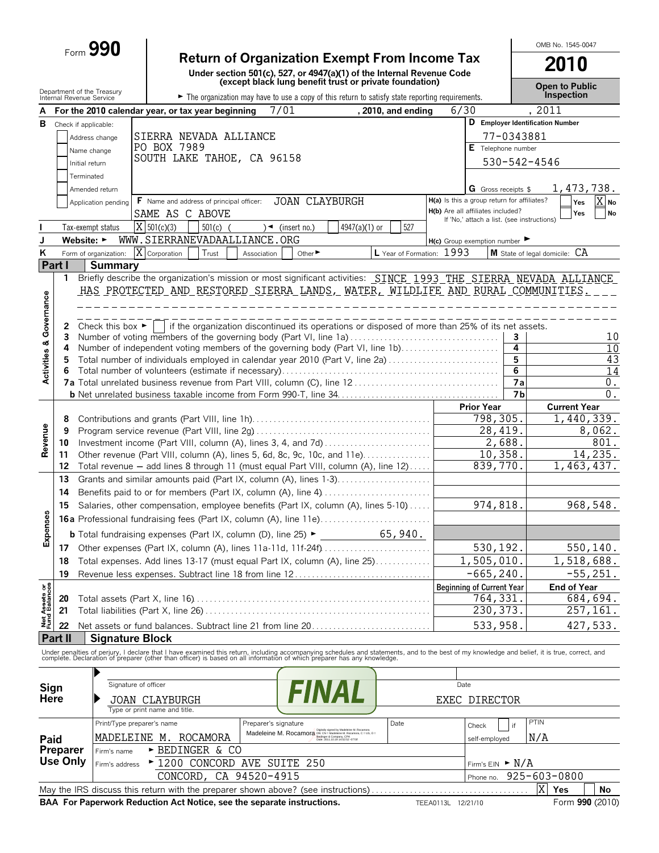# Form **990 Return of Organization Exempt From Income Tax**

|                                |                                                        |                                      |                                                                                                                                                                                                                                   | Return of Organization Exempt From Income Tax                                                                                                                                                                                                                                                                                   |               |                           |                                                                                 |              | 2010                              |                   |
|--------------------------------|--------------------------------------------------------|--------------------------------------|-----------------------------------------------------------------------------------------------------------------------------------------------------------------------------------------------------------------------------------|---------------------------------------------------------------------------------------------------------------------------------------------------------------------------------------------------------------------------------------------------------------------------------------------------------------------------------|---------------|---------------------------|---------------------------------------------------------------------------------|--------------|-----------------------------------|-------------------|
|                                |                                                        |                                      |                                                                                                                                                                                                                                   | Under section 501(c), 527, or 4947(a)(1) of the Internal Revenue Code<br>(except black lung benefit trust or private foundation)                                                                                                                                                                                                |               |                           |                                                                                 |              | <b>Open to Public</b>             |                   |
|                                | Department of the Treasury<br>Internal Revenue Service |                                      |                                                                                                                                                                                                                                   | The organization may have to use a copy of this return to satisfy state reporting requirements.                                                                                                                                                                                                                                 |               |                           |                                                                                 |              | <b>Inspection</b>                 |                   |
|                                |                                                        |                                      | For the 2010 calendar year, or tax year beginning                                                                                                                                                                                 | 7/01                                                                                                                                                                                                                                                                                                                            |               | , 2010, and ending        | 6/30                                                                            |              | , 2011                            |                   |
| В                              | Check if applicable:                                   |                                      |                                                                                                                                                                                                                                   |                                                                                                                                                                                                                                                                                                                                 |               |                           |                                                                                 |              | D Employer Identification Number  |                   |
|                                |                                                        | Address change                       | SIERRA NEVADA ALLIANCE                                                                                                                                                                                                            |                                                                                                                                                                                                                                                                                                                                 |               |                           |                                                                                 | 77-0343881   |                                   |                   |
|                                |                                                        | Name change                          | PO BOX 7989<br>SOUTH LAKE TAHOE, CA 96158                                                                                                                                                                                         |                                                                                                                                                                                                                                                                                                                                 |               |                           | E Telephone number                                                              |              |                                   |                   |
|                                | Initial return                                         |                                      |                                                                                                                                                                                                                                   |                                                                                                                                                                                                                                                                                                                                 |               |                           |                                                                                 | 530-542-4546 |                                   |                   |
|                                | Terminated                                             |                                      |                                                                                                                                                                                                                                   |                                                                                                                                                                                                                                                                                                                                 |               |                           |                                                                                 |              |                                   |                   |
|                                |                                                        | Amended return                       |                                                                                                                                                                                                                                   |                                                                                                                                                                                                                                                                                                                                 |               |                           | <b>G</b> Gross receipts \$                                                      |              | 1,473,738.                        |                   |
|                                |                                                        | Application pending                  | F Name and address of principal officer:                                                                                                                                                                                          | <b>JOAN CLAYBURGH</b>                                                                                                                                                                                                                                                                                                           |               |                           | H(a) Is this a group return for affiliates?                                     |              | Yes                               | $\overline{X}$ No |
|                                |                                                        |                                      | SAME AS C ABOVE                                                                                                                                                                                                                   |                                                                                                                                                                                                                                                                                                                                 |               |                           | H(b) Are all affiliates included?<br>If 'No,' attach a list. (see instructions) |              | Yes                               | <b>No</b>         |
|                                |                                                        | Tax-exempt status                    | $X \mid 501(c)(3)$<br>$501(c)$ (                                                                                                                                                                                                  | $\rightarrow$ (insert no.)                                                                                                                                                                                                                                                                                                      | 4947(a)(1) or | 527                       |                                                                                 |              |                                   |                   |
|                                | Website: $\blacktriangleright$                         |                                      | WWW.SIERRANEVADAALLIANCE.ORG                                                                                                                                                                                                      |                                                                                                                                                                                                                                                                                                                                 |               |                           | H(c) Group exemption number                                                     |              |                                   |                   |
| K                              |                                                        | Form of organization:                | X Corporation<br>Trust                                                                                                                                                                                                            | Other <sup>&gt;</sup><br>Association                                                                                                                                                                                                                                                                                            |               | L Year of Formation: 1993 |                                                                                 |              | M State of legal domicile: CA     |                   |
|                                | Part I                                                 | <b>Summary</b>                       |                                                                                                                                                                                                                                   |                                                                                                                                                                                                                                                                                                                                 |               |                           |                                                                                 |              |                                   |                   |
|                                | 1                                                      |                                      | Briefly describe the organization's mission or most significant activities: SINCE_1993_THE_SIERRA_NEVADA_ALLIANCE                                                                                                                 |                                                                                                                                                                                                                                                                                                                                 |               |                           |                                                                                 |              |                                   |                   |
| Activities & Governance        |                                                        |                                      | HAS PROTECTED AND RESTORED SIERRA LANDS, WATER, WILDLIFE AND RURAL COMMUNITIES.                                                                                                                                                   |                                                                                                                                                                                                                                                                                                                                 |               |                           |                                                                                 |              |                                   |                   |
|                                |                                                        |                                      |                                                                                                                                                                                                                                   |                                                                                                                                                                                                                                                                                                                                 |               |                           |                                                                                 |              |                                   |                   |
|                                | 2                                                      | Check this box $\blacktriangleright$ |                                                                                                                                                                                                                                   | if the organization discontinued its operations or disposed of more than 25% of its net assets.                                                                                                                                                                                                                                 |               |                           |                                                                                 |              |                                   |                   |
|                                | 3                                                      |                                      | Number of voting members of the governing body (Part VI, line 1a)                                                                                                                                                                 |                                                                                                                                                                                                                                                                                                                                 |               |                           |                                                                                 | 3            |                                   | 10                |
|                                | 4                                                      |                                      | Number of independent voting members of the governing body (Part VI, line 1b)                                                                                                                                                     |                                                                                                                                                                                                                                                                                                                                 |               |                           |                                                                                 | 4            |                                   | 10                |
|                                |                                                        |                                      | Total number of individuals employed in calendar year 2010 (Part V, line 2a)                                                                                                                                                      |                                                                                                                                                                                                                                                                                                                                 |               |                           |                                                                                 | 5            |                                   | 43                |
|                                |                                                        |                                      |                                                                                                                                                                                                                                   |                                                                                                                                                                                                                                                                                                                                 |               |                           |                                                                                 | 6            |                                   | 14                |
|                                |                                                        |                                      |                                                                                                                                                                                                                                   |                                                                                                                                                                                                                                                                                                                                 |               |                           |                                                                                 | 7a           |                                   | $0$ .             |
|                                |                                                        |                                      |                                                                                                                                                                                                                                   |                                                                                                                                                                                                                                                                                                                                 |               |                           |                                                                                 | <b>7b</b>    |                                   | $0$ .             |
|                                | 8                                                      |                                      |                                                                                                                                                                                                                                   |                                                                                                                                                                                                                                                                                                                                 |               |                           | <b>Prior Year</b><br>798,305.                                                   |              | <b>Current Year</b><br>1,440,339. |                   |
|                                | 9                                                      |                                      |                                                                                                                                                                                                                                   |                                                                                                                                                                                                                                                                                                                                 |               |                           | 28,419.                                                                         |              |                                   | 8,062.            |
| Revenue                        | 10                                                     |                                      | Investment income (Part VIII, column (A), lines 3, 4, and 7d)                                                                                                                                                                     |                                                                                                                                                                                                                                                                                                                                 |               |                           | 2,688.                                                                          |              |                                   | 801.              |
|                                | 11                                                     |                                      | Other revenue (Part VIII, column (A), lines 5, 6d, 8c, 9c, 10c, and 11e)                                                                                                                                                          |                                                                                                                                                                                                                                                                                                                                 |               |                           | 10,358.                                                                         |              |                                   | 14,235.           |
|                                | 12                                                     |                                      | Total revenue - add lines 8 through 11 (must equal Part VIII, column (A), line 12)                                                                                                                                                |                                                                                                                                                                                                                                                                                                                                 |               |                           | 839,770.                                                                        |              | 1,463,437.                        |                   |
|                                | 13                                                     |                                      |                                                                                                                                                                                                                                   |                                                                                                                                                                                                                                                                                                                                 |               |                           |                                                                                 |              |                                   |                   |
|                                | 14                                                     |                                      | Benefits paid to or for members (Part IX, column (A), line 4)                                                                                                                                                                     |                                                                                                                                                                                                                                                                                                                                 |               |                           |                                                                                 |              |                                   |                   |
|                                | 15                                                     |                                      | Salaries, other compensation, employee benefits (Part IX, column (A), lines 5-10)                                                                                                                                                 |                                                                                                                                                                                                                                                                                                                                 |               |                           | 974,818.                                                                        |              |                                   | 968,548.          |
|                                |                                                        |                                      | <b>16a</b> Professional fundraising fees (Part IX, column (A), line 11e)                                                                                                                                                          |                                                                                                                                                                                                                                                                                                                                 |               |                           |                                                                                 |              |                                   |                   |
| penses                         |                                                        |                                      | <b>b</b> Total fundraising expenses (Part IX, column (D), line 25) ►                                                                                                                                                              |                                                                                                                                                                                                                                                                                                                                 |               | 65,940.                   |                                                                                 |              |                                   |                   |
| û                              | 17                                                     |                                      | Other expenses (Part IX, column (A), lines 11a-11d, 11f-24f)                                                                                                                                                                      |                                                                                                                                                                                                                                                                                                                                 |               |                           | 530,192.                                                                        |              |                                   | 550, 140.         |
|                                | 18                                                     |                                      | Total expenses. Add lines 13-17 (must equal Part IX, column (A), line 25)                                                                                                                                                         |                                                                                                                                                                                                                                                                                                                                 |               |                           | 1,505,010.                                                                      |              | 1,518,688.                        |                   |
|                                | 19                                                     |                                      | Revenue less expenses. Subtract line 18 from line 12                                                                                                                                                                              |                                                                                                                                                                                                                                                                                                                                 |               |                           | $-665, 240.$                                                                    |              |                                   | $-55, 251.$       |
|                                |                                                        |                                      |                                                                                                                                                                                                                                   |                                                                                                                                                                                                                                                                                                                                 |               |                           | <b>Beginning of Current Year</b>                                                |              | <b>End of Year</b>                |                   |
|                                | 20                                                     |                                      |                                                                                                                                                                                                                                   |                                                                                                                                                                                                                                                                                                                                 |               |                           | 764,331                                                                         |              |                                   | 684,694.          |
| Net Assets or<br>Fund Balances | 21                                                     |                                      |                                                                                                                                                                                                                                   |                                                                                                                                                                                                                                                                                                                                 |               |                           | 230, 373.                                                                       |              |                                   | 257,161.          |
|                                | 22                                                     |                                      | Net assets or fund balances. Subtract line 21 from line 20                                                                                                                                                                        |                                                                                                                                                                                                                                                                                                                                 |               |                           | 533,958.                                                                        |              |                                   | 427,533.          |
|                                | Part II                                                | <b>Signature Block</b>               |                                                                                                                                                                                                                                   |                                                                                                                                                                                                                                                                                                                                 |               |                           |                                                                                 |              |                                   |                   |
|                                |                                                        |                                      | Under penalties of perjury, I declare that I have examined this return, including accompanying schedules and statements, and to the best of my knowledge and belief, it is true, correct, and<br>complete. Declaration of prepare |                                                                                                                                                                                                                                                                                                                                 |               |                           |                                                                                 |              |                                   |                   |
|                                |                                                        |                                      |                                                                                                                                                                                                                                   |                                                                                                                                                                                                                                                                                                                                 |               |                           |                                                                                 |              |                                   |                   |
|                                |                                                        |                                      |                                                                                                                                                                                                                                   |                                                                                                                                                                                                                                                                                                                                 |               |                           |                                                                                 |              |                                   |                   |
| Sign                           |                                                        | Signature of officer                 |                                                                                                                                                                                                                                   |                                                                                                                                                                                                                                                                                                                                 | FINAL         |                           | Date                                                                            |              |                                   |                   |
| Here                           |                                                        |                                      | JOAN CLAYBURGH<br>Type or print name and title.                                                                                                                                                                                   |                                                                                                                                                                                                                                                                                                                                 |               |                           | EXEC DIRECTOR                                                                   |              |                                   |                   |
|                                |                                                        | Print/Type preparer's name           |                                                                                                                                                                                                                                   | Preparer's signature                                                                                                                                                                                                                                                                                                            |               | Date                      |                                                                                 | PTIN         |                                   |                   |
|                                |                                                        |                                      |                                                                                                                                                                                                                                   | $\textbf{Madeleine}\ \textbf{M.}\ \ \textbf{Rocamoza}\ \textbf{two}\ \textbf{F3}^{\text{Düduap's product}}_{\text{Bukinger}\ \text{Coh} \text{m.} \text{Madsleine in M. Rccamons, C = US, O =}}\ \textbf{M.}\ \ \textbf{R}^{\text{Düduheine}\ \text{M. Rccamons, C = US, O =}}_{\text{Dukc}\ 2011:10:19:14:52:52\cdot 07\,007}$ |               |                           | Check                                                                           | if           |                                   |                   |
| Paid                           |                                                        | MADELEINE M.                         | ROCAMORA<br>> BEDINGER & CO                                                                                                                                                                                                       |                                                                                                                                                                                                                                                                                                                                 |               |                           | self-employed                                                                   | N/A          |                                   |                   |
|                                | <b>Preparer</b><br><b>Use Only</b>                     | Firm's name                          |                                                                                                                                                                                                                                   |                                                                                                                                                                                                                                                                                                                                 |               |                           |                                                                                 |              |                                   |                   |
|                                |                                                        | Firm's address                       | ▶ 1200 CONCORD AVE SUITE 250                                                                                                                                                                                                      |                                                                                                                                                                                                                                                                                                                                 |               |                           | Firm's $EIN \rightharpoonup N/A$                                                |              |                                   |                   |
|                                |                                                        |                                      | CONCORD, CA 94520-4915<br>May the IRS discuss this return with the preparer shown above? (see instructions)                                                                                                                       |                                                                                                                                                                                                                                                                                                                                 |               |                           | Phone no.                                                                       |              | 925-603-0800<br>X                 | No                |
|                                |                                                        |                                      |                                                                                                                                                                                                                                   |                                                                                                                                                                                                                                                                                                                                 |               |                           |                                                                                 |              | Yes                               |                   |

**BAA For Paperwork Reduction Act Notice, see the separate instructions. TEEA0113L 12/21/10 Form 990 (2010)** 

OMB No. 1545-0047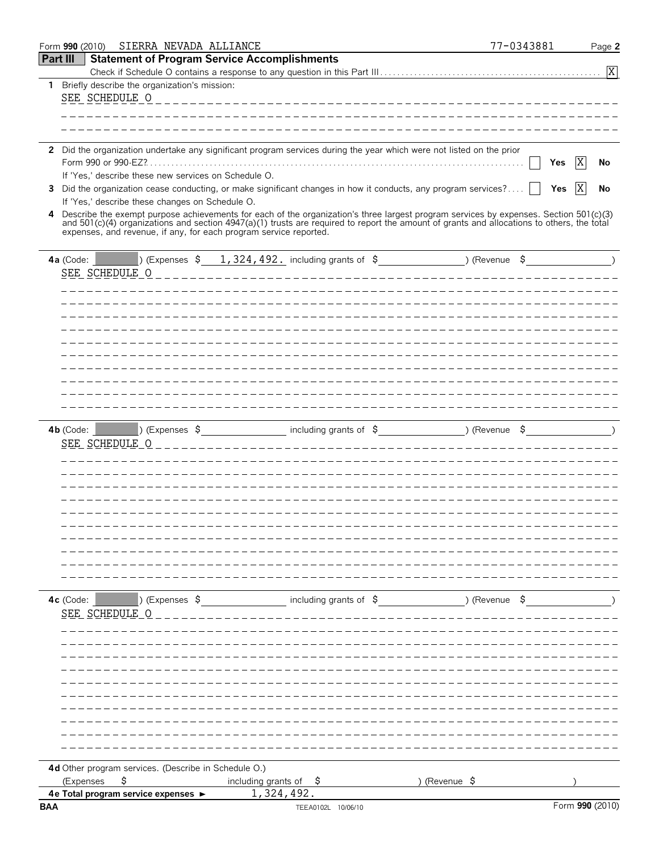|                 | SIERRA NEVADA ALLIANCE<br>Form 990 (2010)                         |                                                                                                                                                                                                                                           | 77-0343881 | Page 2          |
|-----------------|-------------------------------------------------------------------|-------------------------------------------------------------------------------------------------------------------------------------------------------------------------------------------------------------------------------------------|------------|-----------------|
| <b>Part III</b> |                                                                   | <b>Statement of Program Service Accomplishments</b>                                                                                                                                                                                       |            |                 |
|                 |                                                                   |                                                                                                                                                                                                                                           |            |                 |
|                 | 1 Briefly describe the organization's mission:                    |                                                                                                                                                                                                                                           |            |                 |
|                 | SEE SCHEDULE O                                                    | __________________________________                                                                                                                                                                                                        |            |                 |
|                 |                                                                   |                                                                                                                                                                                                                                           |            |                 |
|                 |                                                                   |                                                                                                                                                                                                                                           |            |                 |
|                 |                                                                   |                                                                                                                                                                                                                                           |            |                 |
|                 |                                                                   | 2 Did the organization undertake any significant program services during the year which were not listed on the prior                                                                                                                      |            |                 |
|                 |                                                                   |                                                                                                                                                                                                                                           | Yes        | X<br>No         |
| 3               | If 'Yes,' describe these new services on Schedule O.              | Did the organization cease conducting, or make significant changes in how it conducts, any program services?                                                                                                                              | Yes        | X <br>No        |
|                 | If 'Yes,' describe these changes on Schedule O.                   |                                                                                                                                                                                                                                           |            |                 |
| 4               |                                                                   |                                                                                                                                                                                                                                           |            |                 |
|                 |                                                                   | Describe the exempt purpose achievements for each of the organization's three largest program services by expenses. Section 501(c)(3) and 501(c)(4) organizations and section 4947(a)(1) trusts are required to report the amo            |            |                 |
|                 | expenses, and revenue, if any, for each program service reported. |                                                                                                                                                                                                                                           |            |                 |
|                 |                                                                   |                                                                                                                                                                                                                                           |            |                 |
|                 | 4a (Code: $ $                                                     | <b>Expenses <math>\frac{1}{324}</math>, <math>\frac{324}{192}</math></b> including grants of $\frac{2}{7}$ (Revenue $\frac{2}{7}$ ) (Revenue $\frac{2}{7}$                                                                                |            |                 |
|                 | SEE SCHEDULE O                                                    |                                                                                                                                                                                                                                           |            |                 |
|                 |                                                                   |                                                                                                                                                                                                                                           |            |                 |
|                 |                                                                   |                                                                                                                                                                                                                                           |            |                 |
|                 |                                                                   |                                                                                                                                                                                                                                           |            |                 |
|                 |                                                                   |                                                                                                                                                                                                                                           |            |                 |
|                 |                                                                   |                                                                                                                                                                                                                                           |            |                 |
|                 |                                                                   |                                                                                                                                                                                                                                           |            |                 |
|                 |                                                                   |                                                                                                                                                                                                                                           |            |                 |
|                 |                                                                   |                                                                                                                                                                                                                                           |            |                 |
|                 |                                                                   |                                                                                                                                                                                                                                           |            |                 |
|                 |                                                                   |                                                                                                                                                                                                                                           |            |                 |
|                 |                                                                   | 4b (Code: 1 and 2) (Expenses \$1,000 million of \$1,000 million of \$1,000 million of \$1,000 million of \$1,000 million of \$1,000 million of \$1,000 million of \$1,000 million of \$1,000 million of \$1,000 million of \$1,000 millio |            |                 |
|                 | SEE SCHEDULE O                                                    | ______________________                                                                                                                                                                                                                    |            |                 |
|                 |                                                                   |                                                                                                                                                                                                                                           |            |                 |
|                 |                                                                   |                                                                                                                                                                                                                                           |            |                 |
|                 |                                                                   |                                                                                                                                                                                                                                           |            |                 |
|                 |                                                                   |                                                                                                                                                                                                                                           |            |                 |
|                 |                                                                   |                                                                                                                                                                                                                                           |            |                 |
|                 |                                                                   |                                                                                                                                                                                                                                           |            |                 |
|                 |                                                                   |                                                                                                                                                                                                                                           |            |                 |
|                 |                                                                   |                                                                                                                                                                                                                                           |            |                 |
|                 |                                                                   |                                                                                                                                                                                                                                           |            |                 |
|                 |                                                                   |                                                                                                                                                                                                                                           |            |                 |
|                 |                                                                   |                                                                                                                                                                                                                                           |            |                 |
|                 |                                                                   | 4c (Code: 1, 2010) (Expenses $\frac{1}{2}$ including grants of $\frac{1}{2}$ (Revenue $\frac{1}{2}$ )                                                                                                                                     |            |                 |
|                 | SEE SCHEDULE O                                                    |                                                                                                                                                                                                                                           |            |                 |
|                 |                                                                   |                                                                                                                                                                                                                                           |            |                 |
|                 |                                                                   |                                                                                                                                                                                                                                           |            |                 |
|                 |                                                                   |                                                                                                                                                                                                                                           |            |                 |
|                 |                                                                   |                                                                                                                                                                                                                                           |            |                 |
|                 |                                                                   |                                                                                                                                                                                                                                           |            |                 |
|                 |                                                                   |                                                                                                                                                                                                                                           |            |                 |
|                 |                                                                   |                                                                                                                                                                                                                                           |            |                 |
|                 |                                                                   |                                                                                                                                                                                                                                           |            |                 |
|                 |                                                                   |                                                                                                                                                                                                                                           |            |                 |
|                 |                                                                   |                                                                                                                                                                                                                                           |            |                 |
|                 |                                                                   |                                                                                                                                                                                                                                           |            |                 |
|                 | 4d Other program services. (Describe in Schedule O.)              |                                                                                                                                                                                                                                           |            |                 |
|                 | \$<br>(Expenses<br>4e Total program service expenses ►            | including grants of $\phi$ $\phi$ (Revenue $\phi$<br>1,324,492.                                                                                                                                                                           |            |                 |
| <b>BAA</b>      |                                                                   | TEEA0102L 10/06/10                                                                                                                                                                                                                        |            | Form 990 (2010) |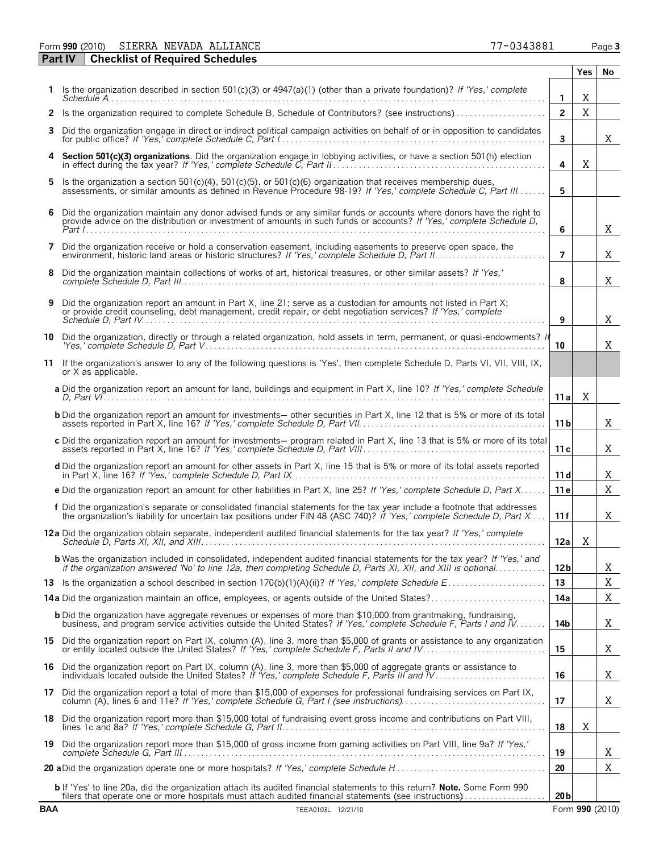Form **990** (2010) Page **3** SIERRA NEVADA ALLIANCE 77-0343881

|            | <b>Checklist of Required Schedules</b><br><b>Part IV</b>                                                                                                                                                                                           |                 |     |                 |
|------------|----------------------------------------------------------------------------------------------------------------------------------------------------------------------------------------------------------------------------------------------------|-----------------|-----|-----------------|
|            |                                                                                                                                                                                                                                                    |                 | Yes | No              |
|            | Is the organization described in section 501(c)(3) or 4947(a)(1) (other than a private foundation)? If 'Yes,' complete                                                                                                                             | 1               | X   |                 |
| 2          |                                                                                                                                                                                                                                                    | $\overline{2}$  | X   |                 |
| 3          | Did the organization engage in direct or indirect political campaign activities on behalf of or in opposition to candidates                                                                                                                        | $\overline{3}$  |     | X               |
| 4          | Section 501(c)(3) organizations. Did the organization engage in lobbying activities, or have a section 501(h) election in effect during the tax year? If 'Yes,' complete Schedule C, Part II                                                       | 4               | Χ   |                 |
| 5          | Is the organization a section 501(c)(4), 501(c)(5), or 501(c)(6) organization that receives membership dues, assessments, or similar amounts as defined in Revenue Procedure 98-19? If 'Yes,' complete Schedule C, Part III                        | 5               |     |                 |
| 6          | Did the organization maintain any donor advised funds or any similar funds or accounts where donors have the right to provide advice on the distribution or investment of amounts in such funds or accounts? If 'Yes,' complet                     | 6               |     | X               |
| 7          | Did the organization receive or hold a conservation easement, including easements to preserve open space, the environment, historic land areas or historic structures? If 'Yes,' complete Schedule D, Part II                                      | $\overline{7}$  |     | X               |
| 8          | Did the organization maintain collections of works of art, historical treasures, or other similar assets? If 'Yes,'                                                                                                                                | 8               |     | X               |
| 9          | Did the organization report an amount in Part X, line 21; serve as a custodian for amounts not listed in Part X; or provide credit counseling, debt management, credit repair, or debt negotiation services? If 'Yes,' complet                     | 9               |     | X               |
| 10         | Did the organization, directly or through a related organization, hold assets in term, permanent, or quasi-endowments? If                                                                                                                          | 10              |     | X               |
| 11         | If the organization's answer to any of the following questions is 'Yes', then complete Schedule D, Parts VI, VII, VIII, IX,<br>or X as applicable.                                                                                                 |                 |     |                 |
|            | a Did the organization report an amount for land, buildings and equipment in Part X, line 10? If 'Yes,' complete Schedule                                                                                                                          | 11a             | Χ   |                 |
|            | <b>b</b> Did the organization report an amount for investments— other securities in Part X, line 12 that is 5% or more of its total assets reported in Part X, line 16? If 'Yes,' complete Schedule D, Part VII.                                   | 11 b            |     | X               |
|            | c Did the organization report an amount for investments— program related in Part X, line 13 that is 5% or more of its total assets reported in Part X, line 16? If 'Yes,' complete Schedule D, Part VIII                                           | 11c             |     | X               |
|            | d Did the organization report an amount for other assets in Part X, line 15 that is 5% or more of its total assets reported                                                                                                                        | 11d             |     | X               |
|            | e Did the organization report an amount for other liabilities in Part X, line 25? If 'Yes,' complete Schedule D, Part X                                                                                                                            | 11 <sub>e</sub> |     | X               |
|            | f Did the organization's separate or consolidated financial statements for the tax year include a footnote that addresses the organization's liability for uncertain tax positions under FIN 48 (ASC 740)? If 'Yes,' complete                      | 11f             |     | Χ               |
|            |                                                                                                                                                                                                                                                    | 12a             | X   |                 |
|            | <b>b</b> Was the organization included in consolidated, independent audited financial statements for the tax year? If 'Yes,' and<br>if the organization answered 'No' to line 12a, then completing Schedule D, Parts XI, XII, and XIII is optional | 12 <sub>b</sub> |     | Χ               |
|            |                                                                                                                                                                                                                                                    | 13              |     | X               |
|            |                                                                                                                                                                                                                                                    | 14a             |     | Χ               |
|            | <b>b</b> Did the organization have aggregate revenues or expenses of more than \$10,000 from grantmaking, fundraising, business, and program service activities outside the United States? If 'Yes,' complete Schedule F, Parts I an               | 14b             |     | X               |
|            | 15 Did the organization report on Part IX, column (A), line 3, more than \$5,000 of grants or assistance to any organization<br>or entity located outside the United States? If 'Yes,' complete Schedule F, Parts II and IV.                       | 15              |     | X               |
| 16         | Did the organization report on Part IX, column (A), line 3, more than \$5,000 of aggregate grants or assistance to<br>individuals located outside the United States? If 'Yes,' complete Schedule F, Parts III and IV                               | 16              |     | X               |
|            | 17 Did the organization report a total of more than \$15,000 of expenses for professional fundraising services on Part IX,                                                                                                                         | 17              |     | X               |
| 18         | Did the organization report more than \$15,000 total of fundraising event gross income and contributions on Part VIII,                                                                                                                             | 18              | Χ   |                 |
|            | 19 Did the organization report more than \$15,000 of gross income from gaming activities on Part VIII, line 9a? If 'Yes,'                                                                                                                          | 19              |     | X.              |
|            |                                                                                                                                                                                                                                                    | 20              |     | Χ               |
|            | b If 'Yes' to line 20a, did the organization attach its audited financial statements to this return? Note. Some Form 990<br>filers that operate one or more hospitals must attach audited financial statements (see instructions)                  | 20 <sub>b</sub> |     |                 |
| <b>BAA</b> | TEEA0103L 12/21/10                                                                                                                                                                                                                                 |                 |     | Form 990 (2010) |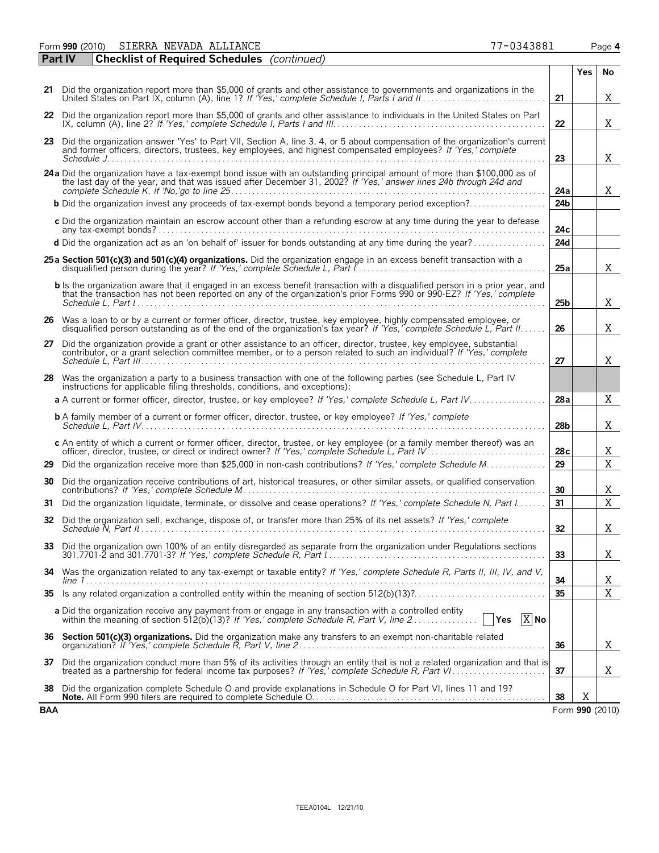Form **990** (2010) Page **4** SIERRA NEVADA ALLIANCE 77-0343881

|     | <b>Checklist of Required Schedules</b> (continued)<br><b>Part IV</b>                                                                                                                                                                                                                                                                                                                                                                                                                         |                 |     |                 |
|-----|----------------------------------------------------------------------------------------------------------------------------------------------------------------------------------------------------------------------------------------------------------------------------------------------------------------------------------------------------------------------------------------------------------------------------------------------------------------------------------------------|-----------------|-----|-----------------|
|     |                                                                                                                                                                                                                                                                                                                                                                                                                                                                                              |                 | Yes | No              |
|     | 21 Did the organization report more than \$5,000 of grants and other assistance to governments and organizations in the                                                                                                                                                                                                                                                                                                                                                                      | 21              |     | X               |
|     | 22 Did the organization report more than \$5,000 of grants and other assistance to individuals in the United States on Part                                                                                                                                                                                                                                                                                                                                                                  | 22              |     | X               |
| 23  | Did the organization answer 'Yes' to Part VII, Section A, line 3, 4, or 5 about compensation of the organization's current<br>and former officers, directors, trustees, key employees, and highest compensated employees? If 'Yes,' complete                                                                                                                                                                                                                                                 | 23              |     | Χ               |
|     |                                                                                                                                                                                                                                                                                                                                                                                                                                                                                              |                 |     |                 |
|     | 24a Did the organization have a tax-exempt bond issue with an outstanding principal amount of more than \$100,000 as of<br>the last day of the year, and that was issued after December 31, 2002? If 'Yes,' answer lines 24b through 24d and                                                                                                                                                                                                                                                 | 24a             |     | X               |
|     | <b>b</b> Did the organization invest any proceeds of tax-exempt bonds beyond a temporary period exception?                                                                                                                                                                                                                                                                                                                                                                                   | 24 <sub>b</sub> |     |                 |
|     | c Did the organization maintain an escrow account other than a refunding escrow at any time during the year to defease                                                                                                                                                                                                                                                                                                                                                                       | 24c             |     |                 |
|     | d Did the organization act as an 'on behalf of' issuer for bonds outstanding at any time during the year?                                                                                                                                                                                                                                                                                                                                                                                    | 24d             |     |                 |
|     | 25a Section 501(c)(3) and 501(c)(4) organizations. Did the organization engage in an excess benefit transaction with a                                                                                                                                                                                                                                                                                                                                                                       | 25a             |     | Χ               |
|     | b Is the organization aware that it engaged in an excess benefit transaction with a disgualified person in a prior year, and<br>that the transaction has not been reported on any of the organization's prior Forms 990 or 990 EZ? If 'Yes,' complete                                                                                                                                                                                                                                        | 25b             |     | X               |
|     | 26 Was a loan to or by a current or former officer, director, trustee, key employee, highly compensated employee, or<br>disqualified person outstanding as of the end of the organization's tax year? If 'Yes,' complete Schedule L. Part II.                                                                                                                                                                                                                                                | 26              |     | Χ               |
| 27  | Did the organization provide a grant or other assistance to an officer, director, trustee, key employee, substantial contributor, or a grant selection committee member, or to a person related to such an individual? If 'Yes                                                                                                                                                                                                                                                               | 27              |     | X.              |
|     | 28 Was the organization a party to a business transaction with one of the following parties (see Schedule L, Part IV<br>instructions for applicable filing thresholds, conditions, and exceptions):                                                                                                                                                                                                                                                                                          |                 |     |                 |
|     | a A current or former officer, director, trustee, or key employee? If 'Yes,' complete Schedule L, Part IV                                                                                                                                                                                                                                                                                                                                                                                    | 28a             |     | X               |
|     | <b>b</b> A family member of a current or former officer, director, trustee, or key employee? If 'Yes,' complete                                                                                                                                                                                                                                                                                                                                                                              | 28 <sub>b</sub> |     | X.              |
|     | c An entity of which a current or former officer, director, trustee, or key employee (or a family member thereof) was an                                                                                                                                                                                                                                                                                                                                                                     | 28c             |     | X               |
| 29  | Did the organization receive more than \$25,000 in non-cash contributions? If 'Yes,' complete Schedule M                                                                                                                                                                                                                                                                                                                                                                                     | 29              |     | X               |
| 30  | Did the organization receive contributions of art, historical treasures, or other similar assets, or qualified conservation                                                                                                                                                                                                                                                                                                                                                                  | 30              |     | X               |
| 31  | Did the organization liquidate, terminate, or dissolve and cease operations? If 'Yes,' complete Schedule N, Part I                                                                                                                                                                                                                                                                                                                                                                           | 31              |     | X               |
|     | 32 Did the organization sell, exchange, dispose of, or transfer more than 25% of its net assets? If 'Yes,' complete                                                                                                                                                                                                                                                                                                                                                                          | 32              |     | X.              |
|     | 33 Did the organization own 100% of an entity disregarded as separate from the organization under Regulations sections<br>301.7701-2 and 301.7701-3? If 'Yes.' complete Schedule R. Part $l_1, \ldots, l_k, \ldots, l_k, \ldots, l_k, \ldots, l_k, \ldots, l_k, \ldots, l_k, \ldots, l_k, \ldots, l_k, \ldots, l_k, \ldots, l_k, \ldots, l_k, \ldots, l_k, \ldots, l_k, \ldots, l_k, \ldots, l_k, \ldots, l_k, \ldots, l_k, \ldots, l_k, \ldots, l_k, \ldots, l_k, \ldots, l_k, \ldots, l_k$ | 33              |     | X               |
|     | 34 Was the organization related to any tax-exempt or taxable entity? If 'Yes,' complete Schedule R, Parts II, III, IV, and V,                                                                                                                                                                                                                                                                                                                                                                | 34              |     | X               |
| 35  |                                                                                                                                                                                                                                                                                                                                                                                                                                                                                              | 35              |     | X               |
|     | a Did the organization receive any payment from or engage in any transaction with a controlled entity<br>$X$ No<br>Yes                                                                                                                                                                                                                                                                                                                                                                       |                 |     |                 |
| 36  | Section 501(c)(3) organizations. Did the organization make any transfers to an exempt non-charitable related                                                                                                                                                                                                                                                                                                                                                                                 | 36              |     | X               |
| 37  | Did the organization conduct more than 5% of its activities through an entity that is not a related organization and that is                                                                                                                                                                                                                                                                                                                                                                 | 37              |     | X               |
| 38  | Did the organization complete Schedule O and provide explanations in Schedule O for Part VI, lines 11 and 19?                                                                                                                                                                                                                                                                                                                                                                                | 38              | Χ   |                 |
| BAA |                                                                                                                                                                                                                                                                                                                                                                                                                                                                                              |                 |     | Form 990 (2010) |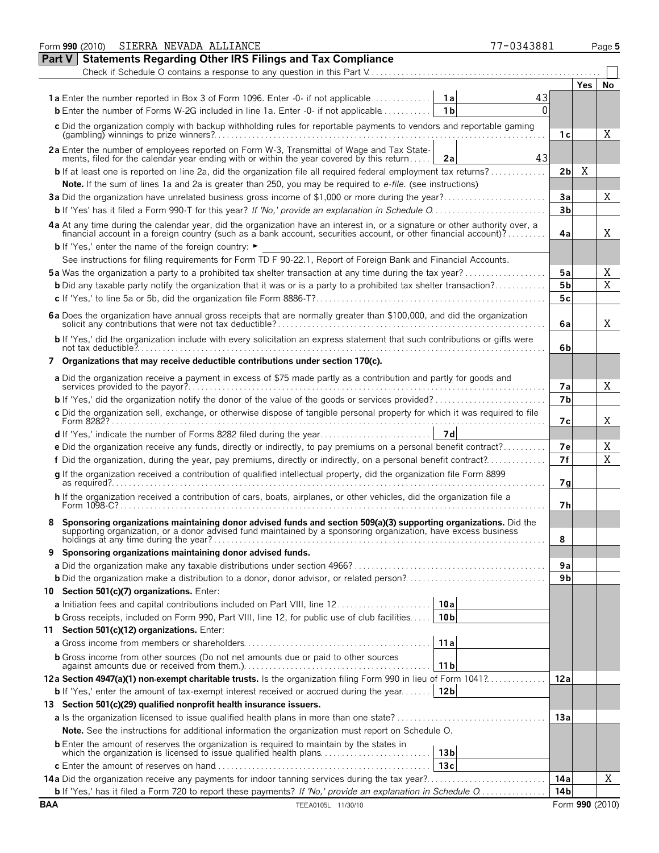|               | Form 990 (2010) SIERRA NEVADA ALLIANCE<br>77-0343881                                                                                                                                                                                                                                                              |                |     | Page 5 |
|---------------|-------------------------------------------------------------------------------------------------------------------------------------------------------------------------------------------------------------------------------------------------------------------------------------------------------------------|----------------|-----|--------|
| <b>Part V</b> | <b>Statements Regarding Other IRS Filings and Tax Compliance</b>                                                                                                                                                                                                                                                  |                |     |        |
|               |                                                                                                                                                                                                                                                                                                                   |                |     |        |
|               |                                                                                                                                                                                                                                                                                                                   |                | Yes | No     |
|               | 43<br><b>1a</b> Enter the number reported in Box 3 of Form 1096. Enter -0- if not applicable<br>1a                                                                                                                                                                                                                |                |     |        |
|               | 0<br><b>b</b> Enter the number of Forms W-2G included in line 1a. Enter -0- if not applicable<br>1b                                                                                                                                                                                                               |                |     |        |
|               | c Did the organization comply with backup withholding rules for reportable payments to vendors and reportable gaming                                                                                                                                                                                              | 1с             |     | Χ      |
|               | 2a Enter the number of employees reported on Form W-3, Transmittal of Wage and Tax Statements, filed for the calendar year ending with or within the year covered by this return<br>43<br>2a                                                                                                                      |                |     |        |
|               | <b>b</b> If at least one is reported on line 2a, did the organization file all required federal employment tax returns?                                                                                                                                                                                           | 2bl            | Χ   |        |
|               | Note. If the sum of lines 1a and 2a is greater than 250, you may be required to e-file. (see instructions)                                                                                                                                                                                                        |                |     |        |
|               | 3a Did the organization have unrelated business gross income of \$1,000 or more during the year?                                                                                                                                                                                                                  | Зa             |     | Χ      |
|               |                                                                                                                                                                                                                                                                                                                   | 3 <sub>b</sub> |     |        |
|               | 4a At any time during the calendar year, did the organization have an interest in, or a signature or other authority over, a financial account in a foreign country (such as a bank account, securities account, or other fina<br><b>b</b> If 'Yes,' enter the name of the foreign country: $\blacktriangleright$ | 4a             |     | X      |
|               | See instructions for filing requirements for Form TD F 90-22.1, Report of Foreign Bank and Financial Accounts.                                                                                                                                                                                                    |                |     |        |
|               | <b>5a</b> Was the organization a party to a prohibited tax shelter transaction at any time during the tax year?                                                                                                                                                                                                   | 5a             |     | Χ      |
|               | <b>b</b> Did any taxable party notify the organization that it was or is a party to a prohibited tax shelter transaction?                                                                                                                                                                                         | 5 <sub>b</sub> |     | X      |
|               |                                                                                                                                                                                                                                                                                                                   | 5c             |     |        |
|               |                                                                                                                                                                                                                                                                                                                   | 6a             |     | X      |
|               | b If 'Yes,' did the organization include with every solicitation an express statement that such contributions or gifts were                                                                                                                                                                                       | 6b             |     |        |
|               | 7 Organizations that may receive deductible contributions under section 170(c).                                                                                                                                                                                                                                   |                |     |        |
|               | a Did the organization receive a payment in excess of \$75 made partly as a contribution and partly for goods and                                                                                                                                                                                                 | 7а             |     | X      |
|               |                                                                                                                                                                                                                                                                                                                   | 7b             |     |        |
|               | c Did the organization sell, exchange, or otherwise dispose of tangible personal property for which it was required to file                                                                                                                                                                                       | 7с             |     | X      |
|               | 7d                                                                                                                                                                                                                                                                                                                |                |     |        |
|               | e Did the organization receive any funds, directly or indirectly, to pay premiums on a personal benefit contract?                                                                                                                                                                                                 | 7е             |     | Χ      |
|               | f Did the organization, during the year, pay premiums, directly or indirectly, on a personal benefit contract?                                                                                                                                                                                                    | 7f             |     | X      |
|               | g If the organization received a contribution of qualified intellectual property, did the organization file Form 8899                                                                                                                                                                                             | 7g             |     |        |
|               | h If the organization received a contribution of cars, boats, airplanes, or other vehicles, did the organization file a<br>Form 1098-C?                                                                                                                                                                           | 7h             |     |        |
|               | Sponsoring organizations maintaining donor advised funds and section 509(a)(3) supporting organizations. Did the<br>supporting organization, or a donor advised fund maintained by a sponsoring organization, have excess business                                                                                | 8              |     |        |
|               | 9 Sponsoring organizations maintaining donor advised funds.                                                                                                                                                                                                                                                       |                |     |        |
|               |                                                                                                                                                                                                                                                                                                                   | 9a             |     |        |
|               |                                                                                                                                                                                                                                                                                                                   | 9 <sub>b</sub> |     |        |
|               | 10 Section 501(c)(7) organizations. Enter:                                                                                                                                                                                                                                                                        |                |     |        |
|               | 10a<br><b>a</b> Initiation fees and capital contributions included on Part VIII, line 12                                                                                                                                                                                                                          |                |     |        |
|               | <b>b</b> Gross receipts, included on Form 990, Part VIII, line 12, for public use of club facilities   10b                                                                                                                                                                                                        |                |     |        |
|               | 11 Section 501(c)(12) organizations. Enter:<br>11a                                                                                                                                                                                                                                                                |                |     |        |
|               | <b>b</b> Gross income from other sources (Do not net amounts due or paid to other sources                                                                                                                                                                                                                         |                |     |        |
|               | 11 <sub>b</sub>                                                                                                                                                                                                                                                                                                   |                |     |        |
|               | 12a Section 4947(a)(1) non-exempt charitable trusts. Is the organization filing Form 990 in lieu of Form 1041?                                                                                                                                                                                                    | 12a            |     |        |
|               | 12b<br><b>b</b> If 'Yes,' enter the amount of tax-exempt interest received or accrued during the year<br>13 Section 501(c)(29) qualified nonprofit health insurance issuers.                                                                                                                                      |                |     |        |
|               |                                                                                                                                                                                                                                                                                                                   | 13a            |     |        |
|               | <b>Note.</b> See the instructions for additional information the organization must report on Schedule O.                                                                                                                                                                                                          |                |     |        |
|               |                                                                                                                                                                                                                                                                                                                   |                |     |        |
|               | 13 <sub>b</sub>                                                                                                                                                                                                                                                                                                   |                |     |        |
|               | 13c                                                                                                                                                                                                                                                                                                               |                |     |        |
|               |                                                                                                                                                                                                                                                                                                                   | 14a            |     | Χ      |
|               |                                                                                                                                                                                                                                                                                                                   | 14b            |     |        |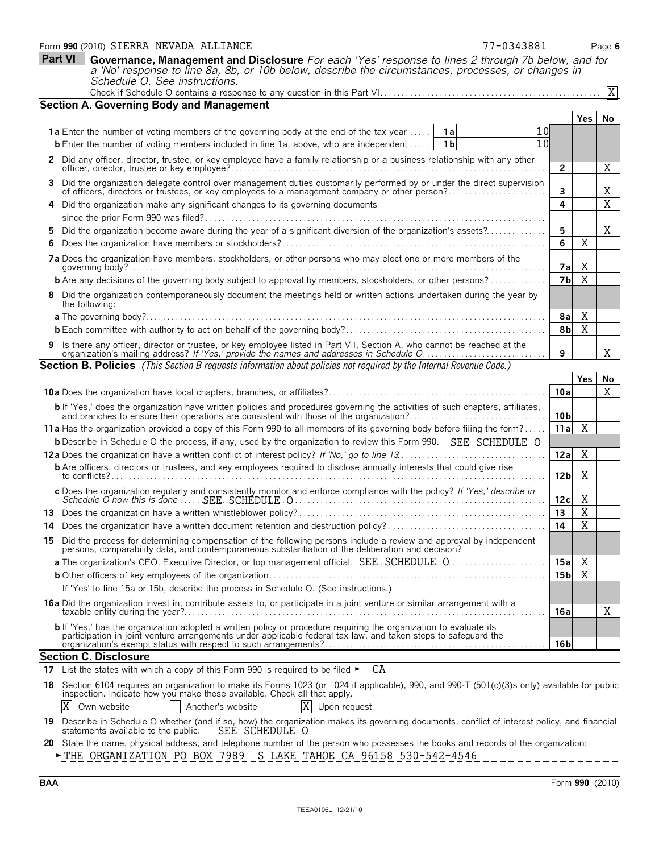|    | 77-0343881<br>Form 990 (2010) SIERRA NEVADA ALLIANCE                                                                                                                                                                                       |                 |                | Page 6         |
|----|--------------------------------------------------------------------------------------------------------------------------------------------------------------------------------------------------------------------------------------------|-----------------|----------------|----------------|
|    | <b>Part VI</b><br>Governance, Management and Disclosure For each 'Yes' response to lines 2 through 7b below, and for                                                                                                                       |                 |                |                |
|    | a 'No' response to line 8a, 8b, or 10b below, describe the circumstances, processes, or changes in                                                                                                                                         |                 |                |                |
|    | Schedule O. See instructions.                                                                                                                                                                                                              |                 |                | $\overline{X}$ |
|    | <b>Section A. Governing Body and Management</b>                                                                                                                                                                                            |                 |                |                |
|    |                                                                                                                                                                                                                                            |                 | <b>Yes</b>     | No             |
|    | <b>1a</b> Enter the number of voting members of the governing body at the end of the tax year<br>1a<br>10                                                                                                                                  |                 |                |                |
|    | 10<br><b>b</b> Enter the number of voting members included in line 1a, above, who are independent<br>1 b                                                                                                                                   |                 |                |                |
|    |                                                                                                                                                                                                                                            |                 |                |                |
|    | 2 Did any officer, director, trustee, or key employee have a family relationship or a business relationship with any other                                                                                                                 | 2               |                | Χ              |
| 3  | Did the organization delegate control over management duties customarily performed by or under the direct supervision<br>of officers, directors or trustees, or key employees to a management company or other person?                     | 3               |                | Χ              |
|    | Did the organization make any significant changes to its governing documents                                                                                                                                                               | 4               |                | Χ              |
|    |                                                                                                                                                                                                                                            |                 |                |                |
| 5  | Did the organization become aware during the year of a significant diversion of the organization's assets?                                                                                                                                 | 5               |                | X              |
| 6  |                                                                                                                                                                                                                                            | 6               | Χ              |                |
|    | 7a Does the organization have members, stockholders, or other persons who may elect one or more members of the                                                                                                                             | 7а              | X              |                |
|    | <b>b</b> Are any decisions of the governing body subject to approval by members, stockholders, or other persons?                                                                                                                           | 7b              | X              |                |
|    | 8 Did the organization contemporaneously document the meetings held or written actions undertaken during the year by<br>the following:                                                                                                     |                 |                |                |
|    | <b>a</b> The governing body?                                                                                                                                                                                                               | 8a              | X              |                |
|    |                                                                                                                                                                                                                                            | 8 <sub>b</sub>  | X              |                |
|    |                                                                                                                                                                                                                                            |                 |                |                |
|    | Is there any officer, director or trustee, or key employee listed in Part VII, Section A, who cannot be reached at the organization's mailing address? If 'Yes,' provide the names and addresses in Schedule O                             | 9               |                | Χ              |
|    | <b>Section B. Policies</b> (This Section B requests information about policies not required by the Internal Revenue Code.)                                                                                                                 |                 |                |                |
|    |                                                                                                                                                                                                                                            |                 | Yes            | No             |
|    |                                                                                                                                                                                                                                            | 10a             |                | Χ              |
|    | <b>b</b> If 'Yes,' does the organization have written policies and procedures governing the activities of such chapters, affiliates, and branches to ensure their operations are consistent with those of the organization?                | 10 <sub>b</sub> |                |                |
|    | 11 a Has the organization provided a copy of this Form 990 to all members of its governing body before filing the form?                                                                                                                    | 11a             | Χ              |                |
|    | <b>b</b> Describe in Schedule O the process, if any, used by the organization to review this Form 990. SEE SCHEDULE O                                                                                                                      |                 |                |                |
|    |                                                                                                                                                                                                                                            | 12a             | Χ              |                |
|    | <b>b</b> Are officers, directors or trustees, and key employees required to disclose annually interests that could give rise                                                                                                               | 12 <sub>b</sub> | Χ              |                |
|    | c Does the organization regularly and consistently monitor and enforce compliance with the policy? If 'Yes,' describe in                                                                                                                   | 12c             | Χ              |                |
|    |                                                                                                                                                                                                                                            | 13              | X              |                |
| 14 | Does the organization have a written document retention and destruction policy?                                                                                                                                                            | 14              | $\overline{X}$ |                |
|    | 15 Did the process for determining compensation of the following persons include a review and approval by independent<br>persons, comparability data, and contemporaneous substantiation of the deliberation and decision?                 |                 |                |                |
|    | a The organization's CEO, Executive Director, or top management official. SEE. SCHEDULE. 0                                                                                                                                                 | 15a             | X              |                |
|    |                                                                                                                                                                                                                                            | 15 <sub>b</sub> | X              |                |
|    | If 'Yes' to line 15a or 15b, describe the process in Schedule O. (See instructions.)                                                                                                                                                       |                 |                |                |
|    | 16a Did the organization invest in, contribute assets to, or participate in a joint venture or similar arrangement with a                                                                                                                  | 16a             |                | Χ              |
|    |                                                                                                                                                                                                                                            |                 |                |                |
|    | <b>b</b> If 'Yes,' has the organization adopted a written policy or procedure requiring the organization to evaluate its<br>participation in joint venture arrangements under applicable federal tax law, and taken steps to safeguard the | 16 b            |                |                |
|    | <b>Section C. Disclosure</b>                                                                                                                                                                                                               |                 |                |                |
|    | 17 List the states with which a copy of this Form 990 is required to be filed $\blacktriangleright$ CA<br>------------------------                                                                                                         |                 |                |                |
|    |                                                                                                                                                                                                                                            |                 |                |                |
|    | 18 Section 6104 requires an organization to make its Forms 1023 (or 1024 if applicable), 990, and 990-T (501(c)(3)s only) available for public                                                                                             |                 |                |                |
|    | inspection. Indicate how you make these available. Check all that apply.<br>X<br>X<br>Own website<br>Another's website<br>Upon request                                                                                                     |                 |                |                |
|    | 19 Describe in Schedule O whether (and if so, how) the organization makes its governing documents, conflict of interest policy, and financial<br>statements available to the public.<br>SEÉ SĆHEDUĽE O                                     |                 |                |                |

**20** State the name, physical address, and telephone number of the person who possesses the books and records of the organization: **FIHE ORGANIZATION PO BOX 7989 S LAKE TAHOE CA 96158 530-542-4546**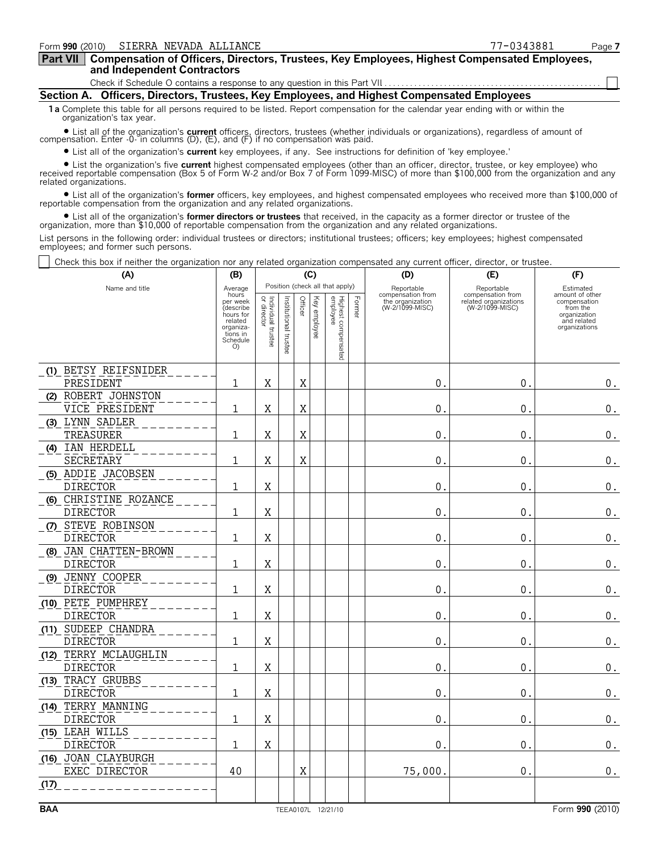| Part VII   Compensation of Officers, Directors, Trustees, Key Employees, Highest Compensated Employees, |  |
|---------------------------------------------------------------------------------------------------------|--|
| and Independent Contractors                                                                             |  |

Check if Schedule O contains a response to any question in this Part VII

**Section A. Officers, Directors, Trustees, Key Employees, and Highest Compensated Employees**

**1a** Complete this table for all persons required to be listed. Report compensation for the calendar year ending with or within the organization's tax year.

? List all of the organization's **current** officers, directors, trustees (whether individuals or organizations), regardless of amount of compensation. Enter -0- in columns (D), (E), and (F) if no compensation was paid.

? List all of the organization's **current** key employees, if any. See instructions for definition of 'key employee.'

? List the organization's five **current** highest compensated employees (other than an officer, director, trustee, or key employee) who received reportable compensation (Box 5 of Form W-2 and/or Box 7 of Form 1099-MISC) of more than \$100,000 from the organization and any related organizations.

? List all of the organization's **former** officers, key employees, and highest compensated employees who received more than \$100,000 of reportable compensation from the organization and any related organizations.

? List all of the organization's **former directors or trustees** that received, in the capacity as a former director or trustee of the organization, more than \$10,000 of reportable compensation from the organization and any related organizations.

List persons in the following order: individual trustees or directors; institutional trustees; officers; key employees; highest compensated employees; and former such persons.

Check this box if neither the organization nor any related organization compensated any current officer, director, or trustee.

| (A)                   | (B)                                      | (C)                               |                       | (D)     | (E)          | (F)                             |        |                                                                        |                                                                             |                                                          |
|-----------------------|------------------------------------------|-----------------------------------|-----------------------|---------|--------------|---------------------------------|--------|------------------------------------------------------------------------|-----------------------------------------------------------------------------|----------------------------------------------------------|
| Name and title        | Average<br>hours<br>per week<br>describe |                                   |                       | Officer |              | Position (check all that apply) | Former | Reportable<br>compensation from<br>the organization<br>(W-2/1099-MISC) | Reportable<br>compensation from<br>related organizations<br>(W-2/1099-MISC) | Estimated<br>amount of other<br>compensation<br>from the |
|                       | hours for<br>related<br>organiza-        | Individual trustee<br>or director | Institutional trustee |         | Key employee |                                 |        |                                                                        |                                                                             | organization<br>and related<br>organizations             |
|                       | tions in<br>Schedule<br>O)               |                                   |                       |         |              | Highest compensated<br>employee |        |                                                                        |                                                                             |                                                          |
| (1) BETSY REIFSNIDER  |                                          |                                   |                       |         |              |                                 |        |                                                                        |                                                                             |                                                          |
| PRESIDENT             | 1                                        | X                                 |                       | X       |              |                                 |        | 0.                                                                     | $\mathbf 0$ .                                                               | О.                                                       |
| (2) ROBERT JOHNSTON   |                                          |                                   |                       |         |              |                                 |        |                                                                        |                                                                             |                                                          |
| VICE PRESIDENT        | 1                                        | Χ                                 |                       | Χ       |              |                                 |        | 0.                                                                     | $\mathbf{0}$                                                                | $\boldsymbol{0}$ .                                       |
| (3) LYNN SADLER       |                                          |                                   |                       |         |              |                                 |        |                                                                        |                                                                             |                                                          |
| TREASURER             | 1                                        | X                                 |                       | X       |              |                                 |        | $\mathbf 0$                                                            | $\boldsymbol{0}$                                                            | $0_{.}$                                                  |
| (4) IAN HERDELL       |                                          |                                   |                       |         |              |                                 |        |                                                                        |                                                                             |                                                          |
| SECRETARY             | 1                                        | X                                 |                       | X       |              |                                 |        | $0$ .                                                                  | $\mathbf{0}$ .                                                              | $\boldsymbol{0}$ .                                       |
| (5) ADDIE JACOBSEN    |                                          |                                   |                       |         |              |                                 |        |                                                                        |                                                                             |                                                          |
| <b>DIRECTOR</b>       | 1                                        | X                                 |                       |         |              |                                 |        | 0.                                                                     | 0.                                                                          | $\boldsymbol{0}$ .                                       |
| (6) CHRISTINE ROZANCE |                                          |                                   |                       |         |              |                                 |        |                                                                        |                                                                             |                                                          |
| <b>DIRECTOR</b>       | 1                                        | X                                 |                       |         |              |                                 |        | 0.                                                                     | $\mathbf{0}$ .                                                              | $\boldsymbol{0}$ .                                       |
| (7) STEVE ROBINSON    |                                          |                                   |                       |         |              |                                 |        |                                                                        |                                                                             |                                                          |
| <b>DIRECTOR</b>       | 1                                        | X                                 |                       |         |              |                                 |        | 0.                                                                     | $\mathbf 0$ .                                                               | $\boldsymbol{0}$ .                                       |
| (8) JAN CHATTEN-BROWN |                                          |                                   |                       |         |              |                                 |        |                                                                        |                                                                             |                                                          |
| <b>DIRECTOR</b>       | 1                                        | X                                 |                       |         |              |                                 |        | 0.                                                                     | $\mathbf{0}$ .                                                              | $\boldsymbol{0}$ .                                       |
| (9) JENNY COOPER      |                                          |                                   |                       |         |              |                                 |        |                                                                        |                                                                             |                                                          |
| <b>DIRECTOR</b>       | 1                                        | X                                 |                       |         |              |                                 |        | 0.                                                                     | $\mathbf{0}$ .                                                              | $0$ .                                                    |
| (10) PETE PUMPHREY    |                                          |                                   |                       |         |              |                                 |        |                                                                        |                                                                             |                                                          |
| <b>DIRECTOR</b>       | 1                                        | X                                 |                       |         |              |                                 |        | 0.                                                                     | $\mathbf{0}$ .                                                              | $\boldsymbol{0}$ .                                       |
| (11) SUDEEP CHANDRA   |                                          |                                   |                       |         |              |                                 |        |                                                                        |                                                                             |                                                          |
| <b>DIRECTOR</b>       | 1                                        | Χ                                 |                       |         |              |                                 |        | 0.                                                                     | $\mathbf{0}$                                                                | $\boldsymbol{0}$ .                                       |
| (12) TERRY MCLAUGHLIN |                                          |                                   |                       |         |              |                                 |        |                                                                        |                                                                             |                                                          |
| <b>DIRECTOR</b>       | 1                                        | X                                 |                       |         |              |                                 |        | 0.                                                                     | $\mathbf 0$ .                                                               | $\boldsymbol{0}$ .                                       |
| (13) TRACY GRUBBS     |                                          |                                   |                       |         |              |                                 |        |                                                                        |                                                                             |                                                          |
| <b>DIRECTOR</b>       | 1                                        | X                                 |                       |         |              |                                 |        | 0.                                                                     | $\mathbf 0$ .                                                               | $\boldsymbol{0}$ .                                       |
| (14) TERRY MANNING    |                                          |                                   |                       |         |              |                                 |        |                                                                        |                                                                             |                                                          |
| <b>DIRECTOR</b>       | 1                                        | X                                 |                       |         |              |                                 |        | 0.                                                                     | $\mathbf{0}$ .                                                              | $\mathbf 0$ .                                            |
| (15) LEAH WILLS       |                                          |                                   |                       |         |              |                                 |        |                                                                        |                                                                             |                                                          |
| <b>DIRECTOR</b>       | 1                                        | X                                 |                       |         |              |                                 |        | 0.                                                                     | $\mathbf{0}$ .                                                              | 0.                                                       |
| (16) JOAN CLAYBURGH   |                                          |                                   |                       |         |              |                                 |        |                                                                        |                                                                             |                                                          |
| EXEC DIRECTOR         | 40                                       |                                   |                       | X       |              |                                 |        | 75,000.                                                                | $\mathbf{0}$ .                                                              | $0_{.}$                                                  |
| (17)                  |                                          |                                   |                       |         |              |                                 |        |                                                                        |                                                                             |                                                          |
|                       |                                          |                                   |                       |         |              |                                 |        |                                                                        |                                                                             |                                                          |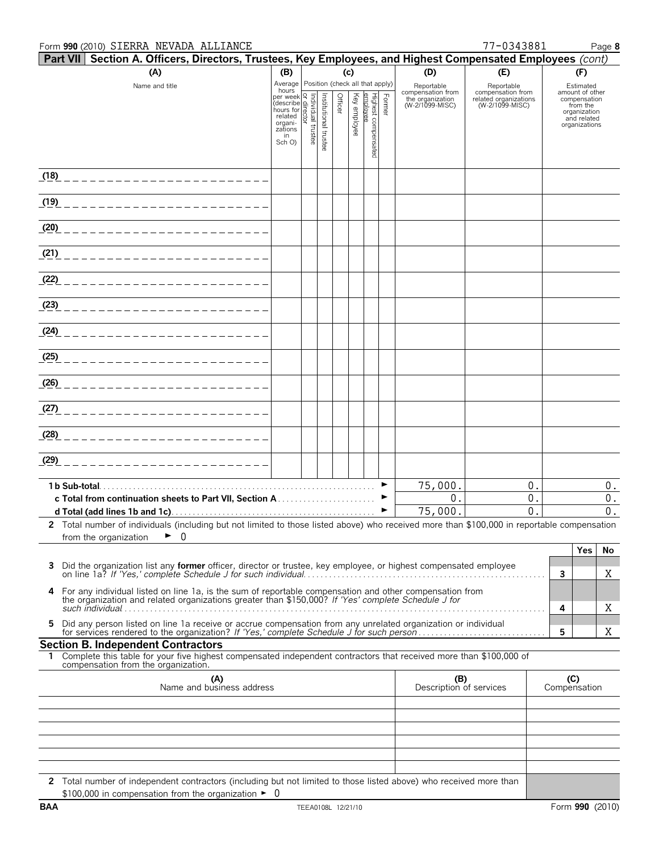#### Form **990** (2010) Page **8** SIERRA NEVADA ALLIANCE 77-0343881

| <b>Part VII Section A. Officers, Directors, Trustees, Key Employees, and Highest Compensated Employees (cont)</b>                           |                                                                                                        |  |                       |         |          |                            |        |                                       |                                            |     |                                 |
|---------------------------------------------------------------------------------------------------------------------------------------------|--------------------------------------------------------------------------------------------------------|--|-----------------------|---------|----------|----------------------------|--------|---------------------------------------|--------------------------------------------|-----|---------------------------------|
| (A)                                                                                                                                         | (c)<br>(B)                                                                                             |  | (D)                   | (E)     |          | (F)                        |        |                                       |                                            |     |                                 |
| Name and title                                                                                                                              | Average Position (check all that apply)<br>hours                                                       |  |                       |         |          |                            |        | Reportable                            | Reportable                                 |     | Estimated                       |
|                                                                                                                                             | nours<br>per week<br>(describe and contract in the related<br>organities<br>azions<br>azions<br>Sch O) |  |                       | Officer | Key      | Highest compen<br>emplovee | Former | compensation from<br>the organization | compensation from<br>related organizations |     | amount of other<br>compensation |
|                                                                                                                                             |                                                                                                        |  | Institutional trustee |         | employee |                            |        | (W-2/1099-MISC)                       | (W-2/1099-MISC)                            |     | from the<br>organization        |
|                                                                                                                                             |                                                                                                        |  |                       |         |          |                            |        |                                       |                                            |     | and related<br>organizations    |
|                                                                                                                                             |                                                                                                        |  |                       |         |          |                            |        |                                       |                                            |     |                                 |
|                                                                                                                                             |                                                                                                        |  |                       |         |          | ନ୍ତି                       |        |                                       |                                            |     |                                 |
|                                                                                                                                             |                                                                                                        |  |                       |         |          |                            |        |                                       |                                            |     |                                 |
| (1 <u>8)</u> ___________________________                                                                                                    |                                                                                                        |  |                       |         |          |                            |        |                                       |                                            |     |                                 |
|                                                                                                                                             |                                                                                                        |  |                       |         |          |                            |        |                                       |                                            |     |                                 |
| (1 <u>9)</u> ___________________________                                                                                                    |                                                                                                        |  |                       |         |          |                            |        |                                       |                                            |     |                                 |
|                                                                                                                                             |                                                                                                        |  |                       |         |          |                            |        |                                       |                                            |     |                                 |
| <u>(20) ________________________</u>                                                                                                        |                                                                                                        |  |                       |         |          |                            |        |                                       |                                            |     |                                 |
|                                                                                                                                             |                                                                                                        |  |                       |         |          |                            |        |                                       |                                            |     |                                 |
| (21) __________________________                                                                                                             |                                                                                                        |  |                       |         |          |                            |        |                                       |                                            |     |                                 |
|                                                                                                                                             |                                                                                                        |  |                       |         |          |                            |        |                                       |                                            |     |                                 |
|                                                                                                                                             |                                                                                                        |  |                       |         |          |                            |        |                                       |                                            |     |                                 |
| (23) ___________________________                                                                                                            |                                                                                                        |  |                       |         |          |                            |        |                                       |                                            |     |                                 |
|                                                                                                                                             |                                                                                                        |  |                       |         |          |                            |        |                                       |                                            |     |                                 |
| <u>(24) ________________________</u>                                                                                                        |                                                                                                        |  |                       |         |          |                            |        |                                       |                                            |     |                                 |
|                                                                                                                                             |                                                                                                        |  |                       |         |          |                            |        |                                       |                                            |     |                                 |
| <u>(25) ________________________</u>                                                                                                        |                                                                                                        |  |                       |         |          |                            |        |                                       |                                            |     |                                 |
|                                                                                                                                             |                                                                                                        |  |                       |         |          |                            |        |                                       |                                            |     |                                 |
|                                                                                                                                             |                                                                                                        |  |                       |         |          |                            |        |                                       |                                            |     |                                 |
|                                                                                                                                             |                                                                                                        |  |                       |         |          |                            |        |                                       |                                            |     |                                 |
| (27) ___________________________                                                                                                            |                                                                                                        |  |                       |         |          |                            |        |                                       |                                            |     |                                 |
|                                                                                                                                             |                                                                                                        |  |                       |         |          |                            |        |                                       |                                            |     |                                 |
| (28) ___________________________                                                                                                            |                                                                                                        |  |                       |         |          |                            |        |                                       |                                            |     |                                 |
|                                                                                                                                             |                                                                                                        |  |                       |         |          |                            |        |                                       |                                            |     |                                 |
| $(29)$ _________________________                                                                                                            |                                                                                                        |  |                       |         |          |                            |        |                                       |                                            |     |                                 |
|                                                                                                                                             |                                                                                                        |  |                       |         |          |                            |        |                                       | 0.                                         |     |                                 |
|                                                                                                                                             |                                                                                                        |  |                       |         |          |                            |        | 75,000.<br>0.                         | 0.                                         |     | 0.<br>$0$ .                     |
|                                                                                                                                             |                                                                                                        |  |                       |         |          |                            | ▶      | 75,000.                               | 0                                          |     | 0.                              |
| 2 Total number of individuals (including but not limited to those listed above) who received more than \$100,000 in reportable compensation |                                                                                                        |  |                       |         |          |                            |        |                                       |                                            |     |                                 |
| 0<br>►<br>from the organization                                                                                                             |                                                                                                        |  |                       |         |          |                            |        |                                       |                                            |     |                                 |
|                                                                                                                                             |                                                                                                        |  |                       |         |          |                            |        |                                       |                                            |     | Yes<br>No                       |
| Did the organization list any former officer, director or trustee, key employee, or highest compensated employee<br>3                       |                                                                                                        |  |                       |         |          |                            |        |                                       |                                            |     |                                 |
|                                                                                                                                             |                                                                                                        |  |                       |         |          |                            |        |                                       |                                            | 3   | Χ                               |
| For any individual listed on line 1a, is the sum of reportable compensation and other compensation from<br>4                                |                                                                                                        |  |                       |         |          |                            |        |                                       |                                            |     |                                 |
| the organization and related organizations greater than \$150,000? If 'Yes' complete Schedule J for                                         |                                                                                                        |  |                       |         |          |                            |        |                                       |                                            | 4   | Χ                               |
|                                                                                                                                             |                                                                                                        |  |                       |         |          |                            |        |                                       |                                            |     |                                 |
| Did any person listed on line 1a receive or accrue compensation from any unrelated organization or individual<br>5.                         |                                                                                                        |  |                       |         |          |                            |        |                                       |                                            | 5   | Χ                               |
| <b>Section B. Independent Contractors</b>                                                                                                   |                                                                                                        |  |                       |         |          |                            |        |                                       |                                            |     |                                 |
| 1 Complete this table for your five highest compensated independent contractors that received more than \$100,000 of                        |                                                                                                        |  |                       |         |          |                            |        |                                       |                                            |     |                                 |
| compensation from the organization.                                                                                                         |                                                                                                        |  |                       |         |          |                            |        |                                       |                                            |     |                                 |
| (A)<br>Name and business address                                                                                                            |                                                                                                        |  |                       |         |          |                            |        | (B)<br>Description of services        |                                            | (C) | Compensation                    |
|                                                                                                                                             |                                                                                                        |  |                       |         |          |                            |        |                                       |                                            |     |                                 |
|                                                                                                                                             |                                                                                                        |  |                       |         |          |                            |        |                                       |                                            |     |                                 |
|                                                                                                                                             |                                                                                                        |  |                       |         |          |                            |        |                                       |                                            |     |                                 |
|                                                                                                                                             |                                                                                                        |  |                       |         |          |                            |        |                                       |                                            |     |                                 |
|                                                                                                                                             |                                                                                                        |  |                       |         |          |                            |        |                                       |                                            |     |                                 |
|                                                                                                                                             |                                                                                                        |  |                       |         |          |                            |        |                                       |                                            |     |                                 |
| 2 Total number of independent contractors (including but not limited to those listed above) who received more than                          |                                                                                                        |  |                       |         |          |                            |        |                                       |                                            |     |                                 |
| \$100,000 in compensation from the organization $\blacktriangleright$ 0                                                                     |                                                                                                        |  |                       |         |          |                            |        |                                       |                                            |     |                                 |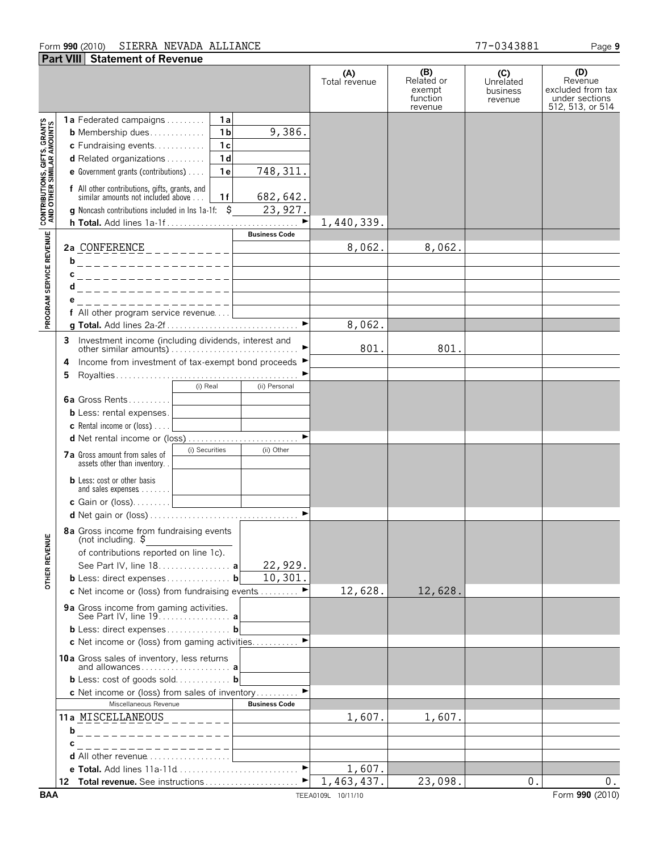#### Form **990** (2010) Page **9** SIERRA NEVADA ALLIANCE 77-0343881

|                                                          | <b>Part VIII Statement of Revenue</b>                                                                                                                                                                                                                                                                                                                                                                                   |                      |                                                    |                                         |                                                                           |
|----------------------------------------------------------|-------------------------------------------------------------------------------------------------------------------------------------------------------------------------------------------------------------------------------------------------------------------------------------------------------------------------------------------------------------------------------------------------------------------------|----------------------|----------------------------------------------------|-----------------------------------------|---------------------------------------------------------------------------|
|                                                          |                                                                                                                                                                                                                                                                                                                                                                                                                         | (A)<br>Total revenue | (B)<br>Related or<br>exempt<br>function<br>revenue | (C)<br>Unrelated<br>business<br>revenue | (D)<br>Revenue<br>excluded from tax<br>under sections<br>512, 513, or 514 |
| <b>PROGRAM SERVICE REVENUE AND OTHER SIMILAR AMOUNTS</b> | <b>1a</b> Federated campaigns<br>1a<br>9,386.<br>1 <sub>b</sub><br><b>b</b> Membership dues<br>1c<br>c Fundraising events<br>1 <sub>d</sub><br>d Related organizations<br>748, 311.<br>1e<br>e Government grants (contributions)<br><b>f</b> All other contributions, gifts, grants, and similar amounts not included above<br>682,642.<br>1f<br>\$<br>23,927.<br><b>g</b> Noncash contributions included in Ins 1a-1f: | 1,440,339.           |                                                    |                                         |                                                                           |
|                                                          | <b>Business Code</b>                                                                                                                                                                                                                                                                                                                                                                                                    | 8,062.               | 8,062.                                             |                                         |                                                                           |
|                                                          | b<br>. _ _ _ _ _ _ _ _ _ _ _ _ _ _ _ _ _ _<br>с<br>___________________<br>d<br>. _ _ _ _ _ _ _ _ _ _ _ _ _ _ _ _ _<br>е<br>_________________                                                                                                                                                                                                                                                                            |                      |                                                    |                                         |                                                                           |
|                                                          |                                                                                                                                                                                                                                                                                                                                                                                                                         | 8,062.               |                                                    |                                         |                                                                           |
|                                                          | 3 Investment income (including dividends, interest and                                                                                                                                                                                                                                                                                                                                                                  | 801.                 | 801.                                               |                                         |                                                                           |
|                                                          | Income from investment of tax-exempt bond proceeds ▶<br>4<br>5                                                                                                                                                                                                                                                                                                                                                          |                      |                                                    |                                         |                                                                           |
|                                                          | (i) Real<br>(ii) Personal<br>6a Gross Rents<br><b>b</b> Less: rental expenses.<br><b>c</b> Rental income or (loss) $\ldots$<br>and the control of the control of<br>(i) Securities<br>(ii) Other                                                                                                                                                                                                                        |                      |                                                    |                                         |                                                                           |
|                                                          | <b>7a</b> Gross amount from sales of<br>assets other than inventory.<br><b>b</b> Less: cost or other basis<br>and sales expenses<br>$\blacktriangleright$                                                                                                                                                                                                                                                               |                      |                                                    |                                         |                                                                           |
| ш<br><b>OTHER REVENU</b>                                 | 8a Gross income from fundraising events<br>(not including. ๖<br>of contributions reported on line 1c).<br>22,929.<br>See Part IV, line 18. a<br>10,301<br><b>b</b> Less: direct expenses <b>b</b>                                                                                                                                                                                                                       |                      |                                                    |                                         |                                                                           |
|                                                          | c Net income or (loss) from fundraising events<br>9a Gross income from gaming activities.<br>See Part IV, line 19. <b>a</b>                                                                                                                                                                                                                                                                                             | 12,628.              | 12,628.                                            |                                         |                                                                           |
|                                                          | b Less: direct expenses b<br>c Net income or (loss) from gaming activities ▶                                                                                                                                                                                                                                                                                                                                            |                      |                                                    |                                         |                                                                           |
|                                                          | 10a Gross sales of inventory, less returns<br>and allowances a                                                                                                                                                                                                                                                                                                                                                          |                      |                                                    |                                         |                                                                           |
|                                                          | <b>b</b> Less: cost of goods sold <b>b</b><br>$\blacktriangleright$<br>c Net income or (loss) from sales of inventory                                                                                                                                                                                                                                                                                                   |                      |                                                    |                                         |                                                                           |
|                                                          | Miscellaneous Revenue<br><b>Business Code</b>                                                                                                                                                                                                                                                                                                                                                                           |                      |                                                    |                                         |                                                                           |
|                                                          | 11a MISCELLANEOUS_________<br>------------------<br>b                                                                                                                                                                                                                                                                                                                                                                   | 1,607.               | 1,607.                                             |                                         |                                                                           |
|                                                          | _ _ _ _ _ _ _ _ _ _ _ _ _ _ _ _ _<br>С                                                                                                                                                                                                                                                                                                                                                                                  |                      |                                                    |                                         |                                                                           |
|                                                          | d All other revenue                                                                                                                                                                                                                                                                                                                                                                                                     | 1,607.               |                                                    |                                         |                                                                           |
|                                                          |                                                                                                                                                                                                                                                                                                                                                                                                                         | 1,463,437.           | 23,098.                                            | 0.                                      | 0.                                                                        |
| <b>BAA</b>                                               |                                                                                                                                                                                                                                                                                                                                                                                                                         | TEEA0109L 10/11/10   |                                                    |                                         | Form 990 (2010)                                                           |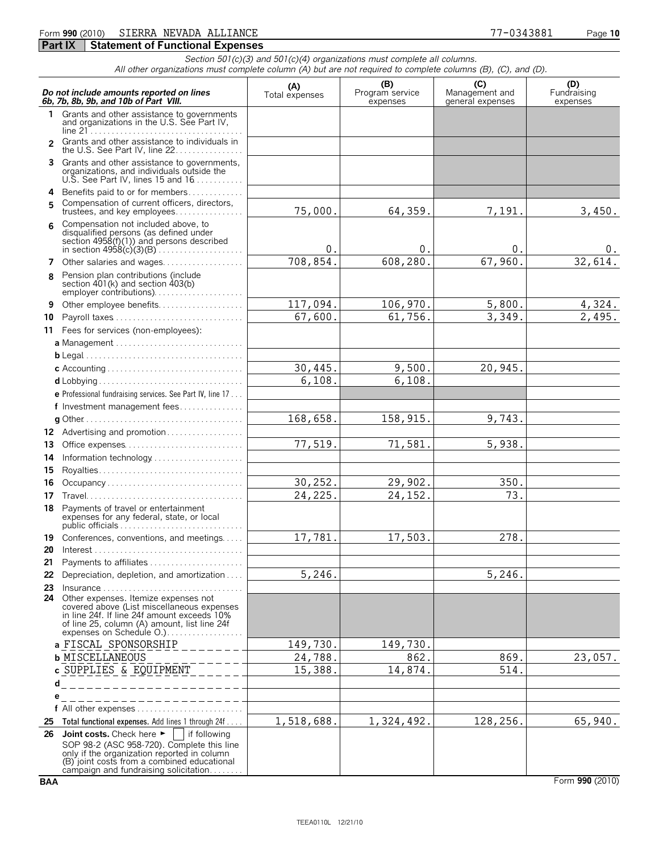#### Form **990** (2010) Page **10** SIERRA NEVADA ALLIANCE 77-0343881

### **Part IX Statement of Functional Expenses**

*Section 501(c)(3) and 501(c)(4) organizations must complete all columns. All other organizations must complete column (A) but are not required to complete columns (B), (C), and (D).*

|                | Do not include amounts reported on lines<br>6b, 7b, 8b, 9b, and 10b of Part VIII.                                                                                                                                                                  | (A)<br>Total expenses | (B)<br>Program service<br>expenses | (C)<br>Management and<br>general expenses | (D)<br>Fundraising<br>expenses |
|----------------|----------------------------------------------------------------------------------------------------------------------------------------------------------------------------------------------------------------------------------------------------|-----------------------|------------------------------------|-------------------------------------------|--------------------------------|
| 1.             | Grants and other assistance to governments<br>and organizations in the U.S. See Part IV,                                                                                                                                                           |                       |                                    |                                           |                                |
| $\mathfrak{p}$ | Grants and other assistance to individuals in<br>the U.S. See Part IV, line 22.                                                                                                                                                                    |                       |                                    |                                           |                                |
|                | 3 Grants and other assistance to governments,<br>organizations, and individuals outside the<br>U.S. See Part IV, lines 15 and $16$                                                                                                                 |                       |                                    |                                           |                                |
|                | 4 Benefits paid to or for members                                                                                                                                                                                                                  |                       |                                    |                                           |                                |
| 5.             | Compensation of current officers, directors,<br>trustees, and key employees                                                                                                                                                                        | 75,000.               | 64,359.                            | 7,191.                                    | 3,450.                         |
| 6              | Compensation not included above, to<br>disqualified persons (as defined under<br>section $4958(f)(1)$ and persons described                                                                                                                        | 0.                    | 0.                                 | 0.                                        | υ.                             |
| 7              | Other salaries and wages                                                                                                                                                                                                                           | 708,854.              | 608, 280.                          | 67,960.                                   | 32,614.                        |
| 8              | Pension plan contributions (include<br>section 401(k) and section 403(b)<br>employer contributions)                                                                                                                                                |                       |                                    |                                           |                                |
| 9              | Other employee benefits                                                                                                                                                                                                                            | 117,094.              | 106,970.                           | 5,800.                                    | 4,324.                         |
| 10             |                                                                                                                                                                                                                                                    | 67,600.               | 61,756.                            | 3,349.                                    | 2,495.                         |
|                | 11 Fees for services (non-employees):                                                                                                                                                                                                              |                       |                                    |                                           |                                |
|                | a Management                                                                                                                                                                                                                                       |                       |                                    |                                           |                                |
|                |                                                                                                                                                                                                                                                    |                       |                                    |                                           |                                |
|                |                                                                                                                                                                                                                                                    | 30,445.               | 9,500.                             | 20,945.                                   |                                |
|                |                                                                                                                                                                                                                                                    | 6,108.                | 6, 108.                            |                                           |                                |
|                | e Professional fundraising services. See Part IV, line 17                                                                                                                                                                                          |                       |                                    |                                           |                                |
|                | f Investment management fees                                                                                                                                                                                                                       |                       |                                    |                                           |                                |
|                |                                                                                                                                                                                                                                                    | 168,658.              | 158, 915.                          | 9,743.                                    |                                |
| 13             | 12 Advertising and promotion<br>Office expenses                                                                                                                                                                                                    | 77,519.               | 71,581.                            | 5,938.                                    |                                |
| 14             | Information technology                                                                                                                                                                                                                             |                       |                                    |                                           |                                |
| 15             |                                                                                                                                                                                                                                                    |                       |                                    |                                           |                                |
| 16             | Occupancy                                                                                                                                                                                                                                          | 30,252.               | 29,902.                            | 350.                                      |                                |
| 17             |                                                                                                                                                                                                                                                    | 24,225.               | 24, 152.                           | 73.                                       |                                |
| 18             | Payments of travel or entertainment<br>expenses for any federal, state, or local                                                                                                                                                                   |                       |                                    |                                           |                                |
| 19             | Conferences, conventions, and meetings                                                                                                                                                                                                             | 17,781.               | 17,503.                            | 278.                                      |                                |
| 20             |                                                                                                                                                                                                                                                    |                       |                                    |                                           |                                |
|                | 21 Payments to affiliates                                                                                                                                                                                                                          |                       |                                    |                                           |                                |
|                | 22 Depreciation, depletion, and amortization                                                                                                                                                                                                       | 5,246.                |                                    | 5,246.                                    |                                |
| 23<br>24       | $Insurance \ldots \ldots \ldots \ldots \ldots$<br>Other expenses. Itemize expenses not<br>covered above (List miscellaneous expenses<br>in line 24f. If line 24f amount exceeds 10%                                                                |                       |                                    |                                           |                                |
|                | a FISCAL SPONSORSHIP                                                                                                                                                                                                                               | 149,730.              | 149,730.                           |                                           |                                |
|                | <b>b MISCELLANEOUS</b>                                                                                                                                                                                                                             | 24,788.               | 862.                               | 869.                                      | 23,057.                        |
|                | c SUPPLIES & EQUIPMENT                                                                                                                                                                                                                             | 15,388.               | 14,874.                            | 514.                                      |                                |
|                | d<br>_________________                                                                                                                                                                                                                             |                       |                                    |                                           |                                |
| е              |                                                                                                                                                                                                                                                    |                       |                                    |                                           |                                |
|                |                                                                                                                                                                                                                                                    |                       |                                    |                                           |                                |
| 25             | Total functional expenses. Add lines 1 through 24f                                                                                                                                                                                                 | 1,518,688.            | 1,324,492.                         | 128,256.                                  | 65,940.                        |
| 26             | Joint costs. Check here $\blacktriangleright$<br>if following<br>SOP 98-2 (ASC 958-720). Complete this line<br>only if the organization reported in column<br>(B) joint costs from a combined educational<br>campaign and fundraising solicitation |                       |                                    |                                           |                                |

**BAA** Form **990** (2010)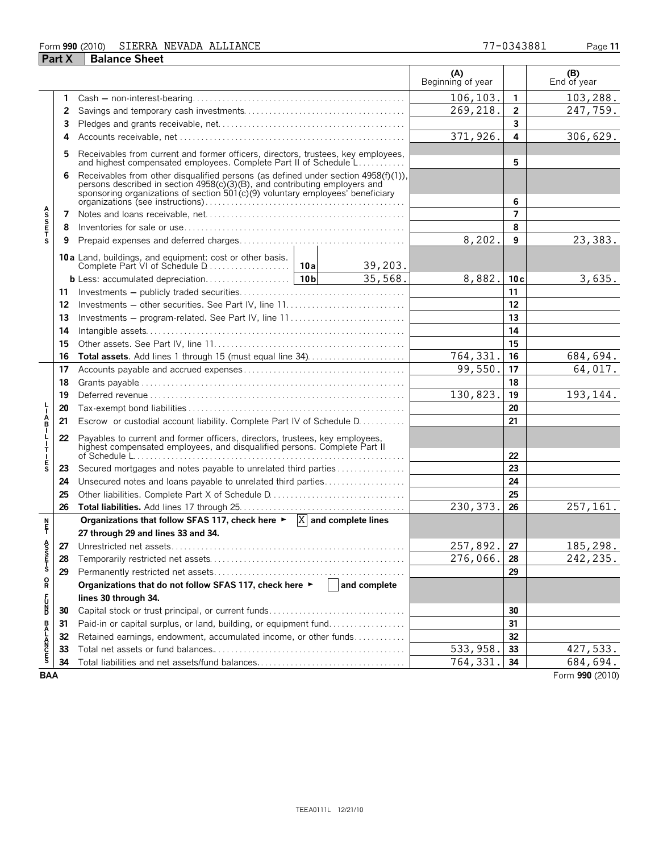#### Form **990** (2010) Page **11** SIERRA NEVADA ALLIANCE 77-0343881

|                       | <b>Part X</b> | <b>Balance Sheet</b>                                                                                                                                                                                                                            |  |              |                          |                |                    |
|-----------------------|---------------|-------------------------------------------------------------------------------------------------------------------------------------------------------------------------------------------------------------------------------------------------|--|--------------|--------------------------|----------------|--------------------|
|                       |               |                                                                                                                                                                                                                                                 |  |              | (A)<br>Beginning of year |                | (B)<br>End of year |
|                       | 1             |                                                                                                                                                                                                                                                 |  |              | 106, 103.                | 1              | 103,288.           |
|                       | 2             |                                                                                                                                                                                                                                                 |  |              | 269,218.                 | $\overline{2}$ | 247,759.           |
|                       | 3             |                                                                                                                                                                                                                                                 |  | 3            |                          |                |                    |
|                       |               |                                                                                                                                                                                                                                                 |  |              | 371,926.                 | 4              | 306,629.           |
|                       | 5             | Receivables from current and former officers, directors, trustees, key employees,<br>and highest compensated employees. Complete Part II of Schedule L                                                                                          |  | 5            |                          |                |                    |
|                       | 6             | Receivables from other disqualified persons (as defined under section 4958(f)(1)), persons described in section 4958(c)(3)(B), and contributing employers and<br>sponsoring organizations of section 501(c)(9) voluntary employees' beneficiary |  | 6            |                          |                |                    |
|                       | 7             |                                                                                                                                                                                                                                                 |  |              |                          | $\overline{7}$ |                    |
| A<br>S<br>S<br>F<br>T | 8             |                                                                                                                                                                                                                                                 |  |              |                          | 8              |                    |
| s                     | 9             |                                                                                                                                                                                                                                                 |  |              | 8,202.                   | 9              | 23,383.            |
|                       |               | <b>10a</b> Land, buildings, and equipment: cost or other basis.                                                                                                                                                                                 |  | 39,203.      |                          |                |                    |
|                       |               |                                                                                                                                                                                                                                                 |  | 35,568.      | 8,882.                   | 10c            | 3,635.             |
|                       | 11            |                                                                                                                                                                                                                                                 |  |              |                          | 11             |                    |
|                       | 12            |                                                                                                                                                                                                                                                 |  |              |                          | 12             |                    |
|                       | 13            | Investments – program-related. See Part IV, line 11                                                                                                                                                                                             |  |              |                          | 13             |                    |
|                       | 14            |                                                                                                                                                                                                                                                 |  | 14           |                          |                |                    |
|                       | 15            |                                                                                                                                                                                                                                                 |  | 15           |                          |                |                    |
|                       | 16            | Total assets. Add lines 1 through 15 (must equal line 34)                                                                                                                                                                                       |  |              | 764, 331.                | 16             | 684,694.           |
|                       | 17            |                                                                                                                                                                                                                                                 |  | 99,550       | 17                       | 64,017.        |                    |
|                       | 18            |                                                                                                                                                                                                                                                 |  | 18           |                          |                |                    |
|                       | 19            |                                                                                                                                                                                                                                                 |  | 130,823.     | 19                       | 193,144.       |                    |
|                       | 20            |                                                                                                                                                                                                                                                 |  |              | 20                       |                |                    |
| A<br>B                | 21            | Escrow or custodial account liability. Complete Part IV of Schedule D.                                                                                                                                                                          |  |              | 21                       |                |                    |
|                       | 22            |                                                                                                                                                                                                                                                 |  |              |                          |                |                    |
| т                     |               | Payables to current and former officers, directors, trustees, key employees, highest compensated employees, and disqualified persons. Complete Part II                                                                                          |  |              | 22                       |                |                    |
| E<br>S                | 23            | Secured mortgages and notes payable to unrelated third parties                                                                                                                                                                                  |  |              |                          | 23             |                    |
|                       | 24            | Unsecured notes and loans payable to unrelated third parties                                                                                                                                                                                    |  |              |                          | 24             |                    |
|                       | 25            |                                                                                                                                                                                                                                                 |  |              |                          | 25             |                    |
|                       | 26            |                                                                                                                                                                                                                                                 |  |              | 230, 373.                | 26             | 257,161.           |
| ŗ                     |               | Organizations that follow SFAS 117, check here $\blacktriangleright$ $ X $ and complete lines                                                                                                                                                   |  |              |                          |                |                    |
|                       |               | 27 through 29 and lines 33 and 34.                                                                                                                                                                                                              |  |              |                          |                |                    |
|                       | 27            |                                                                                                                                                                                                                                                 |  |              | 257,892.                 | 27             | 185,298.           |
| A<br>SHEWA            | 28            |                                                                                                                                                                                                                                                 |  | 276,066.     | 28                       | 242, 235.      |                    |
|                       | 29            |                                                                                                                                                                                                                                                 |  | 29           |                          |                |                    |
| R                     |               | Organizations that do not follow SFAS 117, check here ▶                                                                                                                                                                                         |  | and complete |                          |                |                    |
|                       |               | lines 30 through 34.                                                                                                                                                                                                                            |  |              |                          |                |                    |
| F<br>D<br>D           | 30            | Capital stock or trust principal, or current funds                                                                                                                                                                                              |  |              |                          | 30             |                    |
|                       | 31            | Paid-in or capital surplus, or land, building, or equipment fund                                                                                                                                                                                |  |              |                          | 31             |                    |
|                       | 32            | Retained earnings, endowment, accumulated income, or other funds                                                                                                                                                                                |  | 32           |                          |                |                    |
| <b>BALANCES</b>       | 33            |                                                                                                                                                                                                                                                 |  |              | 533, 958.                | 33             | 427,533.           |
|                       | 34            | Total liabilities and net assets/fund balances                                                                                                                                                                                                  |  |              | 764,331.                 | 34             | 684,694.           |
| <b>BAA</b>            |               |                                                                                                                                                                                                                                                 |  |              |                          |                | Form 990 (2010)    |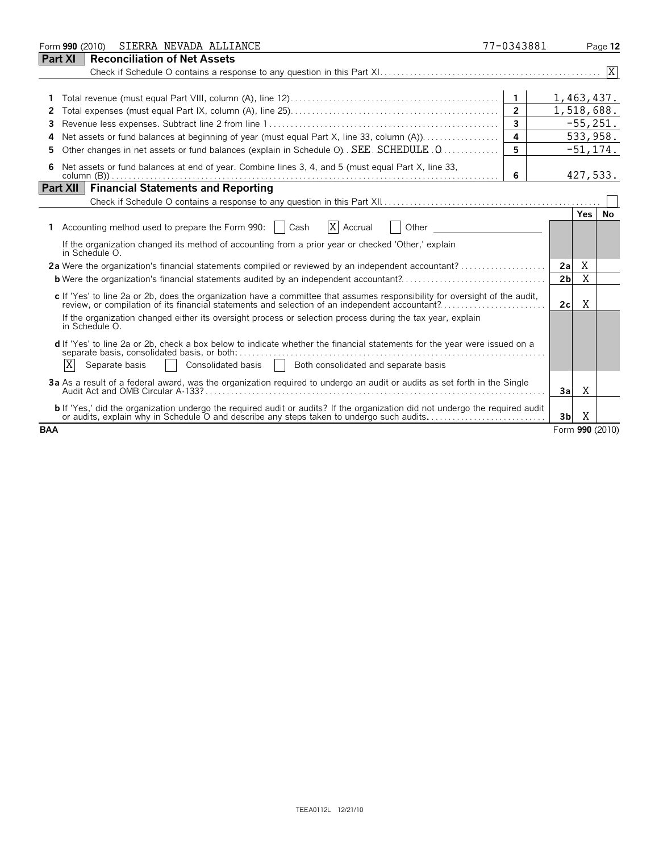| SIERRA NEVADA ALLIANCE<br>Form 990 (2010)                                                                                                                                                                                  | 77-0343881     |                 |             | Page 12 |
|----------------------------------------------------------------------------------------------------------------------------------------------------------------------------------------------------------------------------|----------------|-----------------|-------------|---------|
| Part XI<br><b>Reconciliation of Net Assets</b>                                                                                                                                                                             |                |                 |             |         |
|                                                                                                                                                                                                                            |                |                 |             |         |
|                                                                                                                                                                                                                            | $\mathbf{1}$   | 1,463,437.      |             |         |
|                                                                                                                                                                                                                            | $\overline{2}$ |                 | 1,518,688.  |         |
|                                                                                                                                                                                                                            | $\overline{3}$ |                 | $-55,251.$  |         |
| Net assets or fund balances at beginning of year (must equal Part X, line 33, column (A))<br>4                                                                                                                             | 4              |                 | 533,958.    |         |
| Other changes in net assets or fund balances (explain in Schedule O). SEE. SCHEDULE . Q                                                                                                                                    | 5              |                 | $-51, 174.$ |         |
| Net assets or fund balances at end of year. Combine lines 3, 4, and 5 (must equal Part X, line 33,                                                                                                                         | 6              |                 | 427,533.    |         |
| <b>Financial Statements and Reporting</b><br><b>Part XII</b>                                                                                                                                                               |                |                 |             |         |
|                                                                                                                                                                                                                            |                |                 |             |         |
| X Accrual<br>Accounting method used to prepare the Form 990:     Cash<br>Other                                                                                                                                             |                |                 | Yes.        | No      |
| If the organization changed its method of accounting from a prior year or checked 'Other,' explain<br>in Schedule O.                                                                                                       |                |                 |             |         |
| 2a Were the organization's financial statements compiled or reviewed by an independent accountant?                                                                                                                         |                | 2a              | Χ           |         |
| <b>b</b> Were the organization's financial statements audited by an independent accountant?                                                                                                                                |                | 2 <sub>b</sub>  | X           |         |
| c If 'Yes' to line 2a or 2b, does the organization have a committee that assumes responsibility for oversight of the audit,                                                                                                |                | 2c              | X           |         |
| If the organization changed either its oversight process or selection process during the tax year, explain<br>in Schedule O.                                                                                               |                |                 |             |         |
| d If 'Yes' to line 2a or 2b, check a box below to indicate whether the financial statements for the year were issued on a<br>separate basis, consolidated basis, or both:                                                  |                |                 |             |         |
| ΙX<br>Consolidated basis   Both consolidated and separate basis<br>Separate basis                                                                                                                                          |                |                 |             |         |
| 3a As a result of a federal award, was the organization required to undergo an audit or audits as set forth in the Single                                                                                                  |                | 3a              | Χ           |         |
| b If 'Yes,' did the organization undergo the required audit or audits? If the organization did not undergo the required audit<br>or audits, explain why in Schedule O and describe any steps taken to undergo such audits. |                | 3 <sub>b</sub>  | X           |         |
| <b>BAA</b>                                                                                                                                                                                                                 |                | Form 990 (2010) |             |         |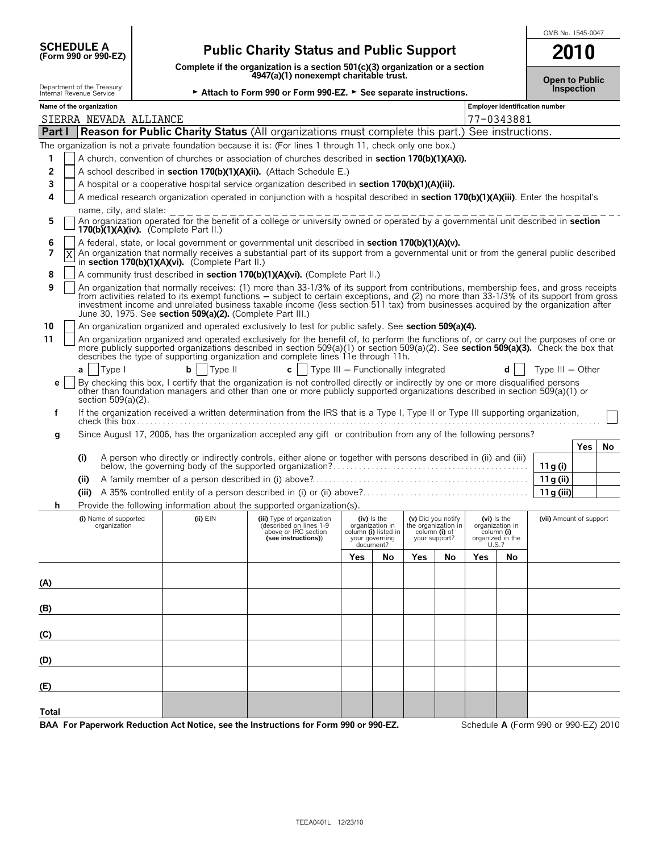| <b>SCHEDULE A</b> |                                     |  |
|-------------------|-------------------------------------|--|
|                   | $(F_{\alpha r}$ m 990 or 990. $F$ 7 |  |

## **(Form 990 or 990-EZ) Public Charity Status and Public Support**

**Complete if the organization is a section 501(c)(3) organization or a section 4947(a)(1) nonexempt charitable trust.**

| OMB No. 1545-0047 |  |
|-------------------|--|
|                   |  |

| Complete if the organization is a section build by digamzation or a section<br>4947(a)(1) nonexempt charitable trust.       |                                                                                                                                                                                                                                                                                                                                                                                                                                                                                    |                                                                                                                                                                                                                |                                    |                                                                                       |                                |                                           | <b>Open to Public</b> |                                                                             |                                       |                   |    |
|-----------------------------------------------------------------------------------------------------------------------------|------------------------------------------------------------------------------------------------------------------------------------------------------------------------------------------------------------------------------------------------------------------------------------------------------------------------------------------------------------------------------------------------------------------------------------------------------------------------------------|----------------------------------------------------------------------------------------------------------------------------------------------------------------------------------------------------------------|------------------------------------|---------------------------------------------------------------------------------------|--------------------------------|-------------------------------------------|-----------------------|-----------------------------------------------------------------------------|---------------------------------------|-------------------|----|
| Department of the Treasury<br>► Attach to Form 990 or Form 990-EZ. ► See separate instructions.<br>Internal Revenue Service |                                                                                                                                                                                                                                                                                                                                                                                                                                                                                    |                                                                                                                                                                                                                |                                    |                                                                                       |                                |                                           |                       |                                                                             |                                       | <b>Inspection</b> |    |
| Name of the organization                                                                                                    |                                                                                                                                                                                                                                                                                                                                                                                                                                                                                    |                                                                                                                                                                                                                |                                    |                                                                                       |                                |                                           |                       |                                                                             | <b>Employer identification number</b> |                   |    |
| SIERRA NEVADA ALLIANCE<br>Part I                                                                                            | <b>Reason for Public Charity Status (All organizations must complete this part.) See instructions.</b>                                                                                                                                                                                                                                                                                                                                                                             |                                                                                                                                                                                                                |                                    |                                                                                       |                                |                                           |                       | 77-0343881                                                                  |                                       |                   |    |
|                                                                                                                             |                                                                                                                                                                                                                                                                                                                                                                                                                                                                                    |                                                                                                                                                                                                                |                                    |                                                                                       |                                |                                           |                       |                                                                             |                                       |                   |    |
| 1                                                                                                                           |                                                                                                                                                                                                                                                                                                                                                                                                                                                                                    | The organization is not a private foundation because it is: (For lines 1 through 11, check only one box.)<br>A church, convention of churches or association of churches described in section 170(b)(1)(A)(i). |                                    |                                                                                       |                                |                                           |                       |                                                                             |                                       |                   |    |
| 2                                                                                                                           | A school described in section 170(b)(1)(A)(ii). (Attach Schedule E.)                                                                                                                                                                                                                                                                                                                                                                                                               |                                                                                                                                                                                                                |                                    |                                                                                       |                                |                                           |                       |                                                                             |                                       |                   |    |
| 3                                                                                                                           | A hospital or a cooperative hospital service organization described in section 170(b)(1)(A)(iii).                                                                                                                                                                                                                                                                                                                                                                                  |                                                                                                                                                                                                                |                                    |                                                                                       |                                |                                           |                       |                                                                             |                                       |                   |    |
| 4                                                                                                                           |                                                                                                                                                                                                                                                                                                                                                                                                                                                                                    |                                                                                                                                                                                                                |                                    |                                                                                       |                                |                                           |                       |                                                                             |                                       |                   |    |
| 5                                                                                                                           | A medical research organization operated in conjunction with a hospital described in section 170(b)(1)(A)(iii). Enter the hospital's<br>name, city, and state:<br>An organization operated for the benefit of a college or university owned or operated by a governmental unit described in section                                                                                                                                                                                |                                                                                                                                                                                                                |                                    |                                                                                       |                                |                                           |                       |                                                                             |                                       |                   |    |
|                                                                                                                             | 170(b) $(1)(A)(iv)$ . (Complete Part II.)                                                                                                                                                                                                                                                                                                                                                                                                                                          |                                                                                                                                                                                                                |                                    |                                                                                       |                                |                                           |                       |                                                                             |                                       |                   |    |
| 6<br>7                                                                                                                      | A federal, state, or local government or governmental unit described in section 170(b)(1)(A)(v).                                                                                                                                                                                                                                                                                                                                                                                   |                                                                                                                                                                                                                |                                    |                                                                                       |                                |                                           |                       |                                                                             |                                       |                   |    |
|                                                                                                                             | An organization that normally receives a substantial part of its support from a governmental unit or from the general public described<br>in section 170(b)(1)(A)(vi). (Complete Part II.)                                                                                                                                                                                                                                                                                         |                                                                                                                                                                                                                |                                    |                                                                                       |                                |                                           |                       |                                                                             |                                       |                   |    |
| 8                                                                                                                           | A community trust described in section 170(b)(1)(A)(vi). (Complete Part II.)                                                                                                                                                                                                                                                                                                                                                                                                       |                                                                                                                                                                                                                |                                    |                                                                                       |                                |                                           |                       |                                                                             |                                       |                   |    |
| 9                                                                                                                           | An organization that normally receives: (1) more than 33-1/3% of its support from contributions, membership fees, and gross receipts<br>from activities related to its exempt functions - subject to certain exceptions, and (2) no more than 33-1/3% of its support from gross<br>investment income and unrelated business taxable income (less section 511 tax) from businesses acquired by the organization after<br>June 30, 1975. See section 509(a)(2). (Complete Part III.) |                                                                                                                                                                                                                |                                    |                                                                                       |                                |                                           |                       |                                                                             |                                       |                   |    |
| 10                                                                                                                          | An organization organized and operated exclusively to test for public safety. See section 509(a)(4).                                                                                                                                                                                                                                                                                                                                                                               |                                                                                                                                                                                                                |                                    |                                                                                       |                                |                                           |                       |                                                                             |                                       |                   |    |
| 11                                                                                                                          | An organization organized and operated exclusively for the benefit of, to perform the functions of, or carry out the purposes of one or<br>more publicly supported organizations described in section 509(a)(1) or section 509(a)(2). See section 509(a)(3). Check the box that<br>describes the type of supporting organization and complete lines 11e through 11h.                                                                                                               |                                                                                                                                                                                                                |                                    |                                                                                       |                                |                                           |                       |                                                                             |                                       |                   |    |
| Type I<br>a                                                                                                                 | Type II<br>b                                                                                                                                                                                                                                                                                                                                                                                                                                                                       | $c \mid$                                                                                                                                                                                                       | Type III - Functionally integrated |                                                                                       |                                |                                           |                       |                                                                             | Type $III - Other$                    |                   |    |
| е<br>section 509(a)(2).                                                                                                     | By checking this box, I certify that the organization is not controlled directly or indirectly by one or more disqualified persons<br>other than foundation managers and other than one or more publicly supported organizations described in section 509(a)(1) or                                                                                                                                                                                                                 |                                                                                                                                                                                                                |                                    |                                                                                       |                                |                                           |                       |                                                                             |                                       |                   |    |
| f                                                                                                                           | If the organization received a written determination from the IRS that is a Type I, Type II or Type III supporting organization,                                                                                                                                                                                                                                                                                                                                                   |                                                                                                                                                                                                                |                                    |                                                                                       |                                |                                           |                       |                                                                             |                                       |                   |    |
| g                                                                                                                           | Since August 17, 2006, has the organization accepted any gift or contribution from any of the following persons?                                                                                                                                                                                                                                                                                                                                                                   |                                                                                                                                                                                                                |                                    |                                                                                       |                                |                                           |                       |                                                                             |                                       |                   |    |
|                                                                                                                             |                                                                                                                                                                                                                                                                                                                                                                                                                                                                                    |                                                                                                                                                                                                                |                                    |                                                                                       |                                |                                           |                       |                                                                             |                                       | Yes               | No |
| (i)                                                                                                                         | A person who directly or indirectly controls, either alone or together with persons described in (ii) and (iii)                                                                                                                                                                                                                                                                                                                                                                    |                                                                                                                                                                                                                |                                    |                                                                                       |                                |                                           |                       |                                                                             | 11 g (i)                              |                   |    |
| (ii)                                                                                                                        |                                                                                                                                                                                                                                                                                                                                                                                                                                                                                    |                                                                                                                                                                                                                |                                    |                                                                                       |                                |                                           |                       |                                                                             | 11 g (ii)                             |                   |    |
|                                                                                                                             |                                                                                                                                                                                                                                                                                                                                                                                                                                                                                    |                                                                                                                                                                                                                |                                    |                                                                                       |                                |                                           |                       |                                                                             | 11g (iii)                             |                   |    |
| h                                                                                                                           | Provide the following information about the supported organization(s).                                                                                                                                                                                                                                                                                                                                                                                                             |                                                                                                                                                                                                                |                                    |                                                                                       |                                |                                           |                       |                                                                             |                                       |                   |    |
| (i) Name of supported<br>organization                                                                                       | $(ii)$ $EIN$                                                                                                                                                                                                                                                                                                                                                                                                                                                                       | (iii) Type of organization<br>(described on lines 1-9<br>above or IRC section<br>(see instructions))                                                                                                           |                                    | (iv) is the<br>organization in<br>column (i) listed in<br>your governing<br>document? | column (i) of<br>your support? | (v) Did you notify<br>the organization in |                       | $(vi)$ is the<br>organization in<br>column (i)<br>organized in the<br>U.S.? | (vii) Amount of support               |                   |    |
|                                                                                                                             |                                                                                                                                                                                                                                                                                                                                                                                                                                                                                    |                                                                                                                                                                                                                | Yes                                | No                                                                                    | Yes                            | No                                        | Yes                   | No                                                                          |                                       |                   |    |
| (A)                                                                                                                         |                                                                                                                                                                                                                                                                                                                                                                                                                                                                                    |                                                                                                                                                                                                                |                                    |                                                                                       |                                |                                           |                       |                                                                             |                                       |                   |    |
|                                                                                                                             |                                                                                                                                                                                                                                                                                                                                                                                                                                                                                    |                                                                                                                                                                                                                |                                    |                                                                                       |                                |                                           |                       |                                                                             |                                       |                   |    |
| (B)                                                                                                                         |                                                                                                                                                                                                                                                                                                                                                                                                                                                                                    |                                                                                                                                                                                                                |                                    |                                                                                       |                                |                                           |                       |                                                                             |                                       |                   |    |
| $\overline{c}$                                                                                                              |                                                                                                                                                                                                                                                                                                                                                                                                                                                                                    |                                                                                                                                                                                                                |                                    |                                                                                       |                                |                                           |                       |                                                                             |                                       |                   |    |
| (D)                                                                                                                         |                                                                                                                                                                                                                                                                                                                                                                                                                                                                                    |                                                                                                                                                                                                                |                                    |                                                                                       |                                |                                           |                       |                                                                             |                                       |                   |    |
| (E)                                                                                                                         |                                                                                                                                                                                                                                                                                                                                                                                                                                                                                    |                                                                                                                                                                                                                |                                    |                                                                                       |                                |                                           |                       |                                                                             |                                       |                   |    |
| Total                                                                                                                       |                                                                                                                                                                                                                                                                                                                                                                                                                                                                                    |                                                                                                                                                                                                                |                                    |                                                                                       |                                |                                           |                       |                                                                             |                                       |                   |    |

**BAA For Paperwork Reduction Act Notice, see the Instructions for Form 990 or 990-EZ.** Schedule **A** (Form 990 or 990-EZ) 2010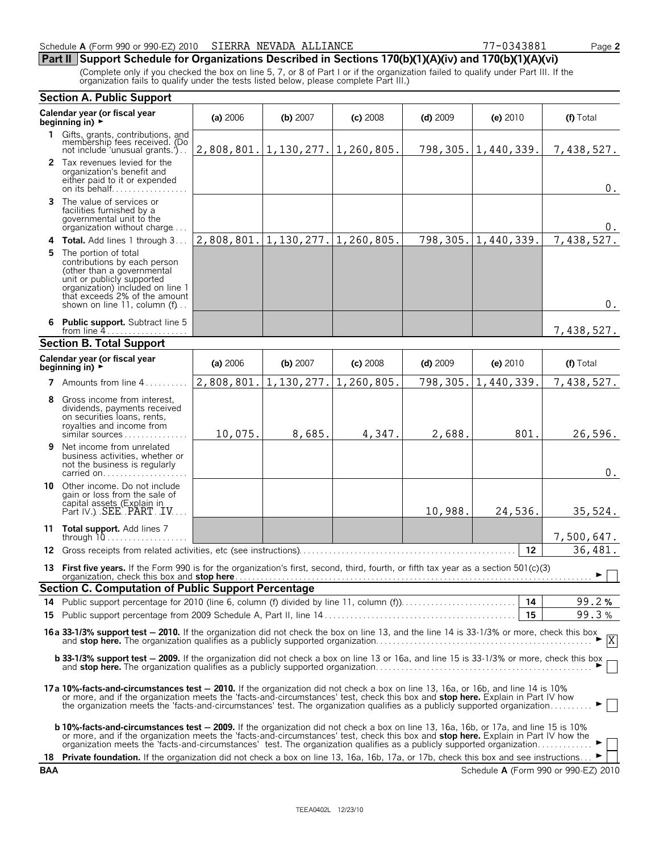#### **Part II Support Schedule for Organizations Described in Sections 170(b)(1)(A)(iv) and 170(b)(1)(A)(vi)**

(Complete only if you checked the box on line 5, 7, or 8 of Part I or if the organization failed to qualify under Part III. If the organization fails to qualify under the tests listed below, please complete Part III.)

|     | <b>Section A. Public Support</b>                                                                                                                                                                                                                                                                                                                                                                            |            |                           |            |            |            |                                      |  |
|-----|-------------------------------------------------------------------------------------------------------------------------------------------------------------------------------------------------------------------------------------------------------------------------------------------------------------------------------------------------------------------------------------------------------------|------------|---------------------------|------------|------------|------------|--------------------------------------|--|
|     | Calendar year (or fiscal year<br>beginning in) $\rightarrow$                                                                                                                                                                                                                                                                                                                                                | (a) 2006   | (b) 2007                  | $(c)$ 2008 | $(d)$ 2009 | (e) 2010   | (f) Total                            |  |
|     | 1 Gifts, grants, contributions, and<br>membership fees received. (Do<br>not include 'unusual grants.').                                                                                                                                                                                                                                                                                                     |            | $2,808,801.$   1,130,277. | 1,260,805. | 798,305.   | 1,440,339. | 7,438,527.                           |  |
|     | 2 Tax revenues levied for the<br>organization's benefit and<br>either paid to it or expended<br>on its behalf                                                                                                                                                                                                                                                                                               |            |                           |            |            |            | $0$ .                                |  |
| 3   | The value of services or<br>facilities furnished by a<br>governmental unit to the<br>organization without charge                                                                                                                                                                                                                                                                                            |            |                           |            |            |            | 0.                                   |  |
|     | 4 Total. Add lines 1 through 3                                                                                                                                                                                                                                                                                                                                                                              | 2,808,801. | 1,130,277.                | 1,260,805. | 798,305.   | 1,440,339. | 7,438,527.                           |  |
| 5   | The portion of total<br>contributions by each person<br>(other than a governmental<br>unit or publicly supported<br>organization) included on line 1<br>that exceeds 2% of the amount<br>shown on line 11, column (f)                                                                                                                                                                                       |            |                           |            |            |            | $0$ .                                |  |
|     | 6 Public support. Subtract line 5<br>from line $4 \ldots \ldots \ldots \ldots \ldots$                                                                                                                                                                                                                                                                                                                       |            |                           |            |            |            | 7,438,527.                           |  |
|     | <b>Section B. Total Support</b>                                                                                                                                                                                                                                                                                                                                                                             |            |                           |            |            |            |                                      |  |
|     | Calendar year (or fiscal year<br>beginning in) $\rightarrow$                                                                                                                                                                                                                                                                                                                                                | (a) 2006   | (b) 2007                  | $(c)$ 2008 | $(d)$ 2009 | (e) 2010   | (f) Total                            |  |
|     | 7 Amounts from line 4.                                                                                                                                                                                                                                                                                                                                                                                      | 2,808,801. | 1,130,277.                | 1,260,805. | 798,305.   | 1,440,339. | 7,438,527.                           |  |
| 8   | Gross income from interest,<br>dividends, payments received<br>on securities loans, rents,<br>royalties and income from<br>similar sources                                                                                                                                                                                                                                                                  | 10,075.    | 8,685.                    | 4,347.     | 2,688.     | 801.       | 26,596.                              |  |
| 9   | Net income from unrelated<br>business activities, whether or<br>not the business is regularly<br>carried on                                                                                                                                                                                                                                                                                                 |            |                           |            |            |            | $0$ .                                |  |
|     | 10 Other income. Do not include<br>gain or loss from the sale of<br>capital assets (Explain in<br>Part IV.) SEE PART JV                                                                                                                                                                                                                                                                                     |            |                           |            | 10,988.    | 24,536.    | 35,524.                              |  |
|     | 11 Total support. Add lines 7<br>through $10$                                                                                                                                                                                                                                                                                                                                                               |            |                           |            |            |            | 7,500,647.                           |  |
| 12. | Gross receipts from related activities, etc (see instructions)                                                                                                                                                                                                                                                                                                                                              |            |                           |            |            | 12         | 36,481.                              |  |
|     | 13 First five years. If the Form 990 is for the organization's first, second, third, fourth, or fifth tax year as a section 501(c)(3)                                                                                                                                                                                                                                                                       |            |                           |            |            |            | $\blacktriangleright \Box$           |  |
|     | <b>Section C. Computation of Public Support Percentage</b>                                                                                                                                                                                                                                                                                                                                                  |            |                           |            |            |            |                                      |  |
|     | 14 Public support percentage for 2010 (line 6, column (f) divided by line 11, column (f)                                                                                                                                                                                                                                                                                                                    |            |                           |            |            | 14<br>15   | 99.2%<br>99.3%                       |  |
| 15. |                                                                                                                                                                                                                                                                                                                                                                                                             |            |                           |            |            |            |                                      |  |
|     | <b>16 a 33-1/3% support test - 2010.</b> If the organization did not check the box on line 13, and the line 14 is 33-1/3% or more, check this box $\overline{X}$                                                                                                                                                                                                                                            |            |                           |            |            |            |                                      |  |
|     | <b>b 33-1/3% support test - 2009.</b> If the organization did not check a box on line 13 or 16a, and line 15 is 33-1/3% or more, check this box                                                                                                                                                                                                                                                             |            |                           |            |            |            |                                      |  |
|     | 17a 10%-facts-and-circumstances test - 2010. If the organization did not check a box on line 13, 16a, or 16b, and line 14 is 10%<br>or more, and if the organization meets the 'facts-and-circumstances' test, check this box and stop here. Explain in Part IV how<br>the organization meets the 'facts-and-circumstances' test. The organization qualifies as a publicly supported organization           |            |                           |            |            |            |                                      |  |
|     | <b>b 10%-facts-and-circumstances test – 2009.</b> If the organization did not check a box on line 13, 16a, 16b, or 17a, and line 15 is 10%<br>or more, and if the organization meets the 'facts-and-circumstances' test, check this box and stop here. Explain in Part IV how the<br>organization meets the 'facts-and-circumstances' test. The organization qualifies as a publicly supported organization |            |                           |            |            |            |                                      |  |
| 18  | Private foundation. If the organization did not check a box on line 13, 16a, 16b, 17a, or 17b, check this box and see instructions                                                                                                                                                                                                                                                                          |            |                           |            |            |            |                                      |  |
| BAA |                                                                                                                                                                                                                                                                                                                                                                                                             |            |                           |            |            |            | Schedule A (Form 990 or 990-EZ) 2010 |  |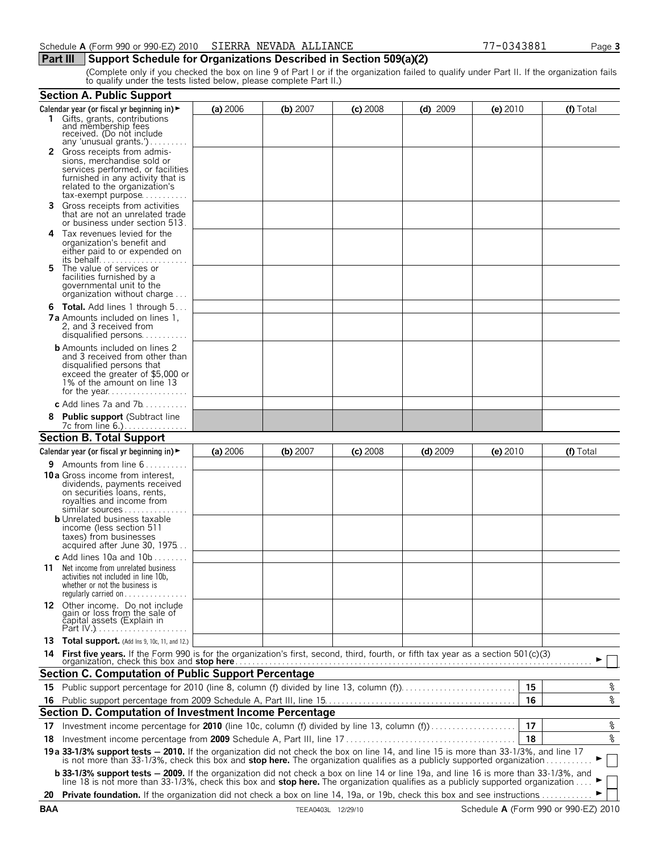#### **Part III** Support Schedule for Organizations Described in Section 509(a)(2)

(Complete only if you checked the box on line 9 of Part I or if the organization failed to qualify under Part II. If the organization fails to qualify under the tests listed below, please complete Part II.)

|    | <b>Section A. Public Support</b>                                                                                                                                                                                                                                                                             |          |          |            |            |            |    |                          |
|----|--------------------------------------------------------------------------------------------------------------------------------------------------------------------------------------------------------------------------------------------------------------------------------------------------------------|----------|----------|------------|------------|------------|----|--------------------------|
|    | Calendar year (or fiscal yr beginning in) >                                                                                                                                                                                                                                                                  | (a) 2006 | (b) 2007 | $(c)$ 2008 | $(d)$ 2009 | $(e)$ 2010 |    | (f) Total                |
|    | 1 Gifts, grants, contributions<br>and membership fees<br>received. (Do not include<br>any 'unusual grants.')                                                                                                                                                                                                 |          |          |            |            |            |    |                          |
|    | 2 Gross receipts from admis-<br>sions, merchandise sold or<br>services performed, or facilities<br>furnished in any activity that is<br>related to the organization's                                                                                                                                        |          |          |            |            |            |    |                          |
| 3. | tax-exempt purpose<br>Gross receipts from activities<br>that are not an unrelated trade<br>or business under section 513.                                                                                                                                                                                    |          |          |            |            |            |    |                          |
|    | 4 Tax revenues levied for the<br>organization's benefit and<br>either paid to or expended on                                                                                                                                                                                                                 |          |          |            |            |            |    |                          |
| 5. | The value of services or<br>facilities furnished by a<br>governmental unit to the<br>organization without charge                                                                                                                                                                                             |          |          |            |            |            |    |                          |
|    | <b>6 Total.</b> Add lines 1 through 5<br><b>7a</b> Amounts included on lines 1,<br>2, and 3 received from<br>disqualified persons                                                                                                                                                                            |          |          |            |            |            |    |                          |
|    | <b>b</b> Amounts included on lines 2<br>and 3 received from other than<br>disqualified persons that<br>exceed the greater of \$5,000 or<br>1% of the amount on line 13                                                                                                                                       |          |          |            |            |            |    |                          |
|    | c Add lines $7a$ and $7b$                                                                                                                                                                                                                                                                                    |          |          |            |            |            |    |                          |
|    | 8 Public support (Subtract line<br>7c from line 6.)                                                                                                                                                                                                                                                          |          |          |            |            |            |    |                          |
|    | <b>Section B. Total Support</b>                                                                                                                                                                                                                                                                              |          |          |            |            |            |    |                          |
|    | Calendar year (or fiscal yr beginning in) $\blacktriangleright$                                                                                                                                                                                                                                              | (a) 2006 | (b) 2007 | $(c)$ 2008 | $(d)$ 2009 | $(e)$ 2010 |    | (f) Total                |
|    | <b>9</b> Amounts from line $6$                                                                                                                                                                                                                                                                               |          |          |            |            |            |    |                          |
|    | <b>10 a</b> Gross income from interest,<br>dividends, payments received<br>on securities loans, rents,<br>royalties and income from<br>$similar$ sources $\ldots \ldots \ldots$<br><b>b</b> Unrelated business taxable<br>income (less section 511<br>taxes) from businesses<br>acquired after June 30, 1975 |          |          |            |            |            |    |                          |
|    | c Add lines 10a and $10b$<br><b>11</b> Net income from unrelated business<br>activities not included in line 10b,<br>whether or not the business is<br>regularly carried on $\dots\dots\dots\dots$                                                                                                           |          |          |            |            |            |    |                          |
|    | 12 Other income. Do not include<br>gain or loss from the sale of<br>capital assets (Explain in                                                                                                                                                                                                               |          |          |            |            |            |    |                          |
|    | 13 Total support. (Add Ins 9, 10c, 11, and 12.)                                                                                                                                                                                                                                                              |          |          |            |            |            |    |                          |
|    | 14 First five years. If the Form 990 is for the organization's first, second, third, fourth, or fifth tax year as a section 501(c)(3) organization, check this box and stop here <i>manufally</i> and the content of the section of                                                                          |          |          |            |            |            |    |                          |
|    | <b>Section C. Computation of Public Support Percentage</b>                                                                                                                                                                                                                                                   |          |          |            |            |            |    |                          |
|    | 15 Public support percentage for 2010 (line 8, column (f) divided by line 13, column (f)                                                                                                                                                                                                                     |          |          |            |            |            | 15 | ್ಠಿ                      |
|    |                                                                                                                                                                                                                                                                                                              |          |          |            |            |            |    | $\,{}^{\circ}\!\!\delta$ |
|    | Section D. Computation of Investment Income Percentage                                                                                                                                                                                                                                                       |          |          |            |            |            |    |                          |
|    | 17 Investment income percentage for 2010 (line 10c, column (f) divided by line 13, column (f)                                                                                                                                                                                                                |          |          |            |            |            | 17 | နွ                       |
|    |                                                                                                                                                                                                                                                                                                              |          |          |            |            |            | 18 | $\rm _{\circ}^{\circ}$   |
|    | 19a 33-1/3% support tests - 2010. If the organization did not check the box on line 14, and line 15 is more than 33-1/3%, and line 17 is not more than 33-1/3%, check this box and stop here. The organization qualifies as a                                                                                |          |          |            |            |            |    |                          |
|    | b 33-1/3% support tests - 2009. If the organization did not check a box on line 14 or line 19a, and line 16 is more than 33-1/3%, and<br>line 18 is not more than 33-1/3%, check this box and stop here. The organization qualifies as a publicly supported organization                                     |          |          |            |            |            |    |                          |
|    | 20 Private foundation. If the organization did not check a box on line 14, 19a, or 19b, check this box and see instructions                                                                                                                                                                                  |          |          |            |            |            |    |                          |